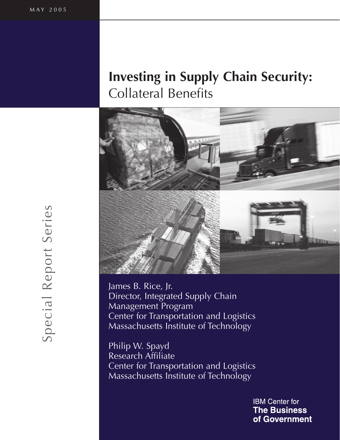# **Investing in Supply Chain Security: Collateral Benefits**



James B. Rice, Jr. Director, Integrated Supply Chain **Management Program** Center for Transportation and Logistics Massachusetts Institute of Technology

Philip W. Spayd Research Affiliate Center for Transportation and Logistics Massachusetts Institute of Technology

> **IBM Center for The Business** of Government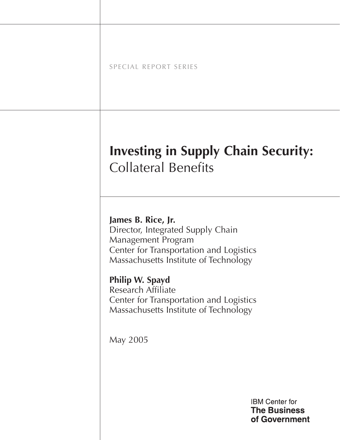|  |  |  |  |  |  | SPECIAL REPORT SERIES |  |  |  |
|--|--|--|--|--|--|-----------------------|--|--|--|
|  |  |  |  |  |  |                       |  |  |  |

# **Investing in Supply Chain Security: Collateral Benefits**

James B. Rice, Jr. Director, Integrated Supply Chain Management Program Center for Transportation and Logistics Massachusetts Institute of Technology

Philip W. Spayd **Research Affiliate** Center for Transportation and Logistics Massachusetts Institute of Technology

May 2005

**IBM Center for The Business** of Government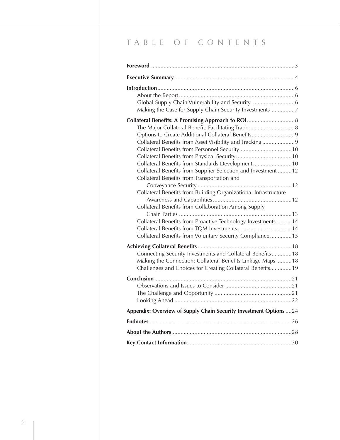# TABLE OF CONTENTS

| Making the Case for Supply Chain Security Investments 7                                                     |
|-------------------------------------------------------------------------------------------------------------|
|                                                                                                             |
|                                                                                                             |
| Options to Create Additional Collateral Benefits9                                                           |
| Collateral Benefits from Asset Visibility and Tracking9                                                     |
|                                                                                                             |
|                                                                                                             |
| Collateral Benefits from Standards Development10                                                            |
| Collateral Benefits from Supplier Selection and Investment12<br>Collateral Benefits from Transportation and |
|                                                                                                             |
| Collateral Benefits from Building Organizational Infrastructure                                             |
|                                                                                                             |
| Collateral Benefits from Collaboration Among Supply                                                         |
| Collateral Benefits from Proactive Technology Investments14                                                 |
| Collateral Benefits from TQM Investments14                                                                  |
| Collateral Benefits from Voluntary Security Compliance15                                                    |
|                                                                                                             |
| Connecting Security Investments and Collateral Benefits18                                                   |
| Making the Connection: Collateral Benefits Linkage Maps18                                                   |
| Challenges and Choices for Creating Collateral Benefits19                                                   |
|                                                                                                             |
|                                                                                                             |
|                                                                                                             |
|                                                                                                             |
|                                                                                                             |
| Appendix: Overview of Supply Chain Security Investment Options  24                                          |
|                                                                                                             |
|                                                                                                             |
|                                                                                                             |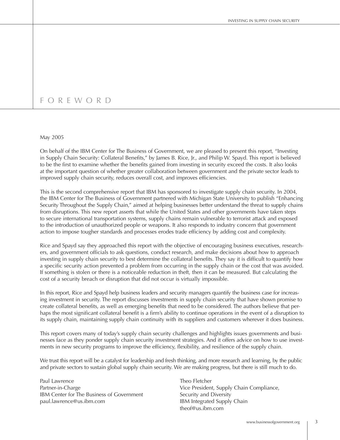# FOREWORD

#### May 2005

On behalf of the IBM Center for The Business of Government, we are pleased to present this report, "Investing in Supply Chain Security: Collateral Benefits," by James B. Rice, Jr., and Philip W. Spayd. This report is believed to be the first to examine whether the benefits gained from investing in security exceed the costs. It also looks at the important question of whether greater collaboration between government and the private sector leads to improved supply chain security, reduces overall cost, and improves efficiencies.

This is the second comprehensive report that IBM has sponsored to investigate supply chain security. In 2004, the IBM Center for The Business of Government partnered with Michigan State University to publish "Enhancing Security Throughout the Supply Chain," aimed at helping businesses better understand the threat to supply chains from disruptions. This new report asserts that while the United States and other governments have taken steps to secure international transportation systems, supply chains remain vulnerable to terrorist attack and exposed to the introduction of unauthorized people or weapons. It also responds to industry concern that government action to impose tougher standards and processes erodes trade efficiency by adding cost and complexity.

Rice and Spayd say they approached this report with the objective of encouraging business executives, researchers, and government officials to ask questions, conduct research, and make decisions about how to approach investing in supply chain security to best determine the collateral benefits. They say it is difficult to quantify how a specific security action prevented a problem from occurring in the supply chain or the cost that was avoided. If something is stolen or there is a noticeable reduction in theft, then it can be measured. But calculating the cost of a security breach or disruption that did not occur is virtually impossible.

In this report, Rice and Spayd help business leaders and security managers quantify the business case for increasing investment in security. The report discusses investments in supply chain security that have shown promise to create collateral benefits, as well as emerging benefits that need to be considered. The authors believe that perhaps the most significant collateral benefit is a firm's ability to continue operations in the event of a disruption to its supply chain, maintaining supply chain continuity with its suppliers and customers wherever it does business.

This report covers many of today's supply chain security challenges and highlights issues governments and businesses face as they ponder supply chain security investment strategies. And it offers advice on how to use investments in new security programs to improve the efficiency, flexibility, and resilience of the supply chain.

We trust this report will be a catalyst for leadership and fresh thinking, and more research and learning, by the public and private sectors to sustain global supply chain security. We are making progress, but there is still much to do.

Paul Lawrence Partner-in-Charge IBM Center for The Business of Government paul.lawrence@us.ibm.com

Theo Fletcher Vice President, Supply Chain Compliance, Security and Diversity IBM Integrated Supply Chain  $the of @us.inm.com$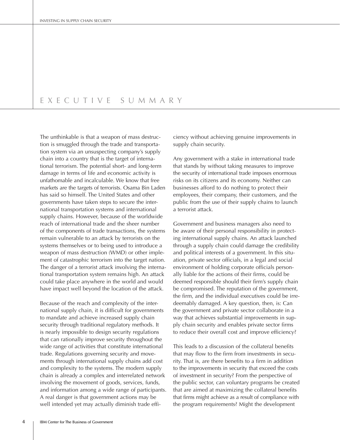#### EXECUTIVE SUMMARY

The unthinkable is that a weapon of mass destruction is smuggled through the trade and transportation system via an unsuspecting company's supply chain into a country that is the target of international terrorism. The potential short- and long-term damage in terms of life and economic activity is unfathomable and incalculable. We know that free markets are the targets of terrorists. Osama Bin Laden has said so himself. The United States and other governments have taken steps to secure the international transportation systems and international supply chains. However, because of the worldwide reach of international trade and the sheer number of the components of trade transactions, the systems remain vulnerable to an attack by terrorists on the systems themselves or to being used to introduce a weapon of mass destruction (WMD) or other implement of catastrophic terrorism into the target nation. The danger of a terrorist attack involving the international transportation system remains high. An attack could take place anywhere in the world and would have impact well beyond the location of the attack.

Because of the reach and complexity of the international supply chain, it is difficult for governments to mandate and achieve increased supply chain security through traditional regulatory methods. It is nearly impossible to design security regulations that can rationally improve security throughout the wide range of activities that constitute international trade. Regulations governing security and movements through international supply chains add cost and complexity to the systems. The modern supply chain is already a complex and interrelated network involving the movement of goods, services, funds, and information among a wide range of participants. A real danger is that government actions may be well intended yet may actually diminish trade efficiency without achieving genuine improvements in supply chain security.

Any government with a stake in international trade that stands by without taking measures to improve the security of international trade imposes enormous risks on its citizens and its economy. Neither can businesses afford to do nothing to protect their employees, their company, their customers, and the public from the use of their supply chains to launch a terrorist attack.

Government and business managers also need to be aware of their personal responsibility in protecting international supply chains. An attack launched through a supply chain could damage the credibility and political interests of a government. In this situation, private sector officials, in a legal and social environment of holding corporate officials personally liable for the actions of their firms, could be deemed responsible should their firm's supply chain be compromised. The reputation of the government, the firm, and the individual executives could be irredeemably damaged. A key question, then, is: Can the government and private sector collaborate in a way that achieves substantial improvements in supply chain security and enables private sector firms to reduce their overall cost and improve efficiency?

This leads to a discussion of the collateral benefits that may flow to the firm from investments in security. That is, are there benefits to a firm in addition to the improvements in security that exceed the costs of investment in security? From the perspective of the public sector, can voluntary programs be created that are aimed at maximizing the collateral benefits that firms might achieve as a result of compliance with the program requirements? Might the development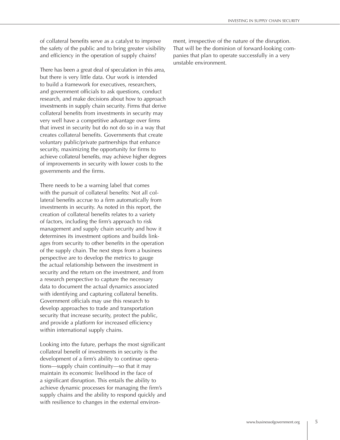of collateral benefits serve as a catalyst to improve the safety of the public and to bring greater visibility and efficiency in the operation of supply chains?

There has been a great deal of speculation in this area, but there is very little data. Our work is intended to build a framework for executives, researchers, and government officials to ask questions, conduct research, and make decisions about how to approach investments in supply chain security. Firms that derive collateral benefits from investments in security may very well have a competitive advantage over firms that invest in security but do not do so in a way that creates collateral benefits. Governments that create voluntary public/private partnerships that enhance security, maximizing the opportunity for firms to achieve collateral benefits, may achieve higher degrees of improvements in security with lower costs to the governments and the firms.

There needs to be a warning label that comes with the pursuit of collateral benefits: Not all collateral benefits accrue to a firm automatically from investments in security. As noted in this report, the creation of collateral benefits relates to a variety of factors, including the firm's approach to risk management and supply chain security and how it determines its investment options and builds linkages from security to other benefits in the operation of the supply chain. The next steps from a business perspective are to develop the metrics to gauge the actual relationship between the investment in security and the return on the investment, and from a research perspective to capture the necessary data to document the actual dynamics associated with identifying and capturing collateral benefits. Government officials may use this research to develop approaches to trade and transportation security that increase security, protect the public, and provide a platform for increased efficiency within international supply chains.

Looking into the future, perhaps the most significant collateral benefit of investments in security is the development of a firm's ability to continue operations-supply chain continuity-so that it may maintain its economic livelihood in the face of a significant disruption. This entails the ability to achieve dynamic processes for managing the firm's supply chains and the ability to respond quickly and with resilience to changes in the external environment, irrespective of the nature of the disruption. That will be the dominion of forward-looking companies that plan to operate successfully in a very unstable environment.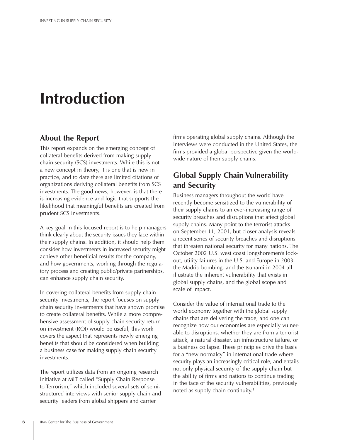# **Introduction**

## **About the Report**

This report expands on the emerging concept of collateral benefits derived from making supply chain security (SCS) investments. While this is not a new concept in theory, it is one that is new in practice, and to date there are limited citations of organizations deriving collateral benefits from SCS investments. The good news, however, is that there is increasing evidence and logic that supports the likelihood that meaningful benefits are created from prudent SCS investments.

A key goal in this focused report is to help managers think clearly about the security issues they face within their supply chains. In addition, it should help them consider how investments in increased security might achieve other beneficial results for the company, and how governments, working through the regulatory process and creating public/private partnerships, can enhance supply chain security.

In covering collateral benefits from supply chain security investments, the report focuses on supply chain security investments that have shown promise to create collateral benefits. While a more comprehensive assessment of supply chain security return on investment (ROI) would be useful, this work covers the aspect that represents newly emerging benefits that should be considered when building a business case for making supply chain security investments.

The report utilizes data from an ongoing research initiative at MIT called "Supply Chain Response to Terrorism," which included several sets of semistructured interviews with senior supply chain and security leaders from global shippers and carrier

firms operating global supply chains. Although the interviews were conducted in the United States, the firms provided a global perspective given the worldwide nature of their supply chains.

# **Global Supply Chain Vulnerability** and Security

Business managers throughout the world have recently become sensitized to the vulnerability of their supply chains to an ever-increasing range of security breaches and disruptions that affect global supply chains. Many point to the terrorist attacks on September 11, 2001, but closer analysis reveals a recent series of security breaches and disruptions that threaten national security for many nations. The October 2002 U.S. west coast longshoremen's lockout, utility failures in the U.S. and Europe in 2003, the Madrid bombing, and the tsunami in 2004 all illustrate the inherent vulnerability that exists in global supply chains, and the global scope and scale of impact.

Consider the value of international trade to the world economy together with the global supply chains that are delivering the trade, and one can recognize how our economies are especially vulnerable to disruptions, whether they are from a terrorist attack, a natural disaster, an infrastructure failure, or a business collapse. These principles drive the basis for a "new normalcy" in international trade where security plays an increasingly critical role, and entails not only physical security of the supply chain but the ability of firms and nations to continue trading in the face of the security vulnerabilities, previously noted as supply chain continuity.<sup>1</sup>

6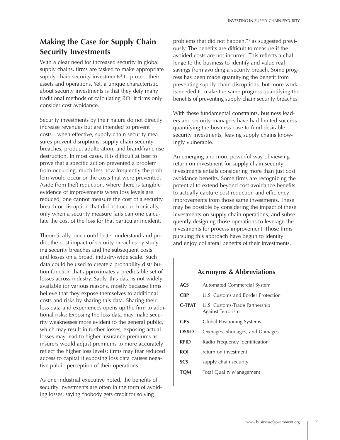# **Making the Case for Supply Chain Security Investments**

With a clear need for increased security in global supply chains, firms are tasked to make appropriate supply chain security investments<sup>2</sup> to protect their assets and operations. Yet, a unique characteristic about security investments is that they defy many traditional methods of calculating ROI if firms only consider cost avoidance.

Security investments by their nature do not directly increase revenues but are intended to prevent costs—when effective, supply chain security measures prevent disruptions, supply chain security breaches, product adulteration, and brand/franchise destruction. In most cases, it is difficult at best to prove that a specific action prevented a problem from occurring, much less how frequently the problem would occur or the costs that were prevented. Aside from theft reduction, where there is tangible evidence of improvements when loss levels are reduced, one cannot measure the cost of a security breach or disruption that did not occur. Ironically, only when a security measure fails can one calcu-Late the cost of the loss for that particular incident.

Theoretically, one could better understand and predict the cost impact of security breaches by studying security breaches and the subsequent costs and losses on a broad, industry-wide scale. Such data could be used to create a probability distribution function that approximates a predictable set of losses across industry. Sadly, this data is not widely available for various reasons, mostly because firms believe that they expose themselves to additional costs and risks by sharing this data. Sharing their loss data and experiences opens up the firm to additional risks: Exposing the loss data may make security weaknesses more evident to the general public, which may result in further losses; exposing actual losses may lead to higher insurance premiums as insurers would adjust premiums to more accurately reflect the higher loss levels; firms may fear reduced access to capital if exposing loss data causes negative public perception of their operations.

As one industrial executive noted, the benefits of security investments are often in the form of avoiding losses, saying "nobody gets credit for solving

problems that did not happen,"<sup>3</sup> as suggested previously. The benefits are difficult to measure if the avoided costs are not incurred. This reflects a challenge to the business to identify and value real savings from avoiding a security breach. Some progress has been made quantifying the benefit from preventing supply chain disruptions, but more work is needed to make the same progress quantifying the benefits of preventing supply chain security breaches.

With these fundamental constraints, business leaders and security managers have had limited success quantifying the business case to fund desirable security investments, leaving supply chains knowingly vulnerable.

An emerging and more powerful way of viewing return on investment for supply chain security investments entails considering more than just cost avoidance benefits. Some firms are recognizing the potential to extend beyond cost avoidance benefits to actually capture cost reduction and efficiency improvements from those same investments. These may be possible by considering the impact of these investments on supply chain operations, and subsequently designing those operations to leverage the investments for process improvement. Those firms pursuing this approach have begun to identify and enjoy collateral benefits of their investments.

## **Acronyms & Abbreviations**

| ACS           | Automated Commercial System                         |
|---------------|-----------------------------------------------------|
| <b>CBP</b>    | U.S. Customs and Border Protection                  |
| <b>C-TPAT</b> | U.S. Customs-Trade Partnership<br>Against Terrorism |
| <b>GPS</b>    | Global Positioning Systems                          |
| OS&D          | Overages, Shortages, and Damages                    |
| RFID          | Radio Frequency Identification                      |
| ROI           | return on investment                                |
| SCS           | supply chain security                               |
| <b>TOM</b>    | <b>Total Quality Management</b>                     |
|               |                                                     |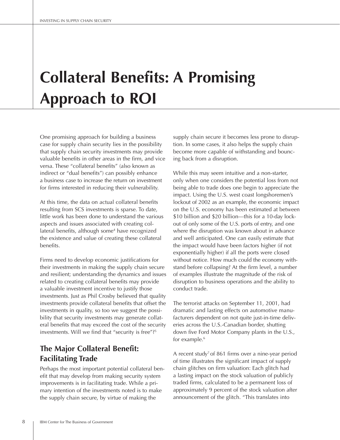# **Collateral Benefits: A Promising Approach to ROI**

One promising approach for building a business case for supply chain security lies in the possibility that supply chain security investments may provide valuable benefits in other areas in the firm, and vice versa. These "collateral benefits" (also known as indirect or "dual benefits") can possibly enhance a business case to increase the return on investment for firms interested in reducing their vulnerability.

At this time, the data on actual collateral benefits resulting from SCS investments is sparse. To date, little work has been done to understand the various aspects and issues associated with creating collateral benefits, although some<sup>4</sup> have recognized the existence and value of creating these collateral benefits.

Firms need to develop economic justifications for their investments in making the supply chain secure and resilient; understanding the dynamics and issues related to creating collateral benefits may provide a valuable investment incentive to justify those investments. Just as Phil Crosby believed that quality investments provide collateral benefits that offset the investments in quality, so too we suggest the possibility that security investments may generate collateral benefits that may exceed the cost of the security investments. Will we find that "security is free"?<sup>5</sup>

# **The Major Collateral Benefit: Facilitating Trade**

Perhaps the most important potential collateral benefit that may develop from making security system improvements is in facilitating trade. While a primary intention of the investments noted is to make the supply chain secure, by virtue of making the

supply chain secure it becomes less prone to disruption. In some cases, it also helps the supply chain become more capable of withstanding and bouncing back from a disruption.

While this may seem intuitive and a non-starter, only when one considers the potential loss from not being able to trade does one begin to appreciate the impact. Using the U.S. west coast longshoremen's lockout of 2002 as an example, the economic impact on the U.S. economy has been estimated at between \$10 billion and \$20 billion—this for a 10-day lockout of only some of the U.S. ports of entry, and one where the disruption was known about in advance and well anticipated. One can easily estimate that the impact would have been factors higher (if not exponentially higher) if all the ports were closed without notice. How much could the economy withstand before collapsing? At the firm level, a number of examples illustrate the magnitude of the risk of disruption to business operations and the ability to conduct trade.

The terrorist attacks on September 11, 2001, had dramatic and lasting effects on automotive manufacturers dependent on not quite just-in-time deliveries across the U.S.-Canadian border, shutting down five Ford Motor Company plants in the U.S., for example.<sup>6</sup>

A recent study<sup>7</sup> of 861 firms over a nine-year period of time illustrates the significant impact of supply chain glitches on firm valuation: Each glitch had a lasting impact on the stock valuation of publicly traded firms, calculated to be a permanent loss of approximately 9 percent of the stock valuation after announcement of the glitch. "This translates into

8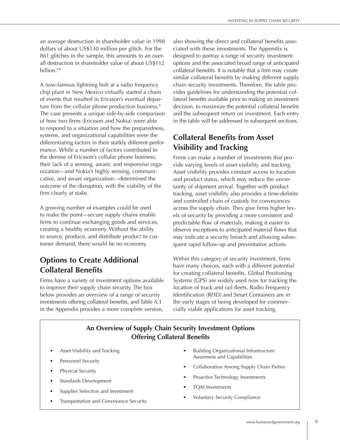an average destruction in shareholder value in 1998 dollars of about US\$130 million per glitch. For the 861 glitches in the sample, this amounts to an overall destruction in shareholder value of about US\$112 billion."<sup>8</sup>

A now-famous lightning bolt at a radio frequency chip plant in New Mexico virtually started a chain of events that resulted in Ericsson's eventual departure from the cellular phone production business.<sup>9</sup> The case presents a unique side-by-side comparison of how two firms (Ericsson and Nokia) were able to respond to a situation and how the preparedness, systems, and organizational capabilities were the differentiating factors in their starkly different performance. While a number of factors contributed to the demise of Ericsson's cellular phone business. their lack of a sensing, aware, and responsive organization—and Nokia's highly sensing, communicative, and aware organization—determined the outcome of the disruption, with the viability of the firm clearly at stake.

A growing number of examples could be used to make the point-secure supply chains enable firms to continue exchanging goods and services, creating a healthy economy. Without the ability to source, produce, and distribute product to customer demand, there would be no economy.

# **Options to Create Additional Collateral Benefits**

Firms have a variety of investment options available to improve their supply chain security. The box below provides an overview of a range of security investments offering collateral benefits, and Table A.1 in the Appendix provides a more complete version,

also showing the direct and collateral benefits associated with these investments. The Appendix is designed to portray a range of security investment options and the associated broad range of anticipated collateral benefits. It is notable that a firm may create similar collateral benefits by making different supply chain security investments. Therefore, the table provides guidelines for understanding the potential collateral benefits available prior to making an investment decision, to maximize the potential collateral benefits and the subsequent return on investment. Each entry in the table will be addressed in subsequent sections.

# **EQUARTER COLLATERATE:** COLLATERATE: COLLATER **Visibility and Tracking**

Firms can make a number of investments that provide varying levels of asset visibility and tracking. Asset visibility provides constant access to location and product status, which may reduce the uncertainty of shipment arrival. Together with product tracking, asset visibility also provides a time-definite and controlled chain of custody for conveyances across the supply chain. They give firms higher levels of security by providing a more consistent and predictable flow of materials, making it easier to observe exceptions to anticipated material flows that may indicate a security breach and allowing subsequent rapid follow-up and preventative actions.

Within this category of security investment, firms have many choices, each with a different potential for creating collateral benefits. Global Positioning Systems (GPS) are widely used now for tracking the location of truck and rail fleets. Radio Frequency Identification (RFID) and Smart Containers are in the early stages of being developed for commercially viable applications for asset tracking.

## **An Overview of Supply Chain Security Investment Options Offering Collateral Benefits**

- Asset Visibility and Tracking
- Personnel Security
- Physical Security
- Standards Development
- Supplier Selection and Investment
- Transportation and Conveyance Security
- Building Organizational Infrastructure Awareness and Capabilities
- Collaboration Among Supply Chain Parties
- Proactive Technology Investments
- TOM Investments
- Voluntary Security Compliance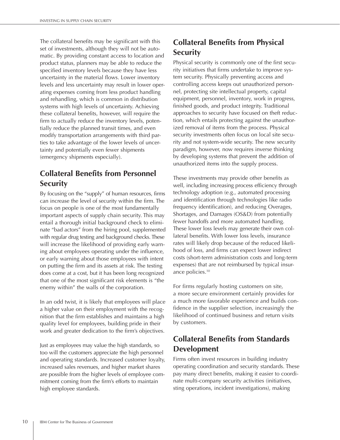The collateral benefits may be significant with this set of investments, although they will not be automatic. By providing constant access to location and product status, planners may be able to reduce the specified inventory levels because they have less uncertainty in the material flows. Lower inventory levels and less uncertainty may result in lower operating expenses coming from less product handling and rehandling, which is common in distribution systems with high levels of uncertainty. Achieving these collateral benefits, however, will require the firm to actually reduce the inventory levels, potentially reduce the planned transit times, and even modify transportation arrangements with third parties to take advantage of the lower levels of uncertainty and potentially even fewer shipments (emergency shipments especially).

# **Collateral Benefits from Personnel Security**

By focusing on the "supply" of human resources, firms can increase the level of security within the firm. The focus on people is one of the most fundamentally important aspects of supply chain security. This may entail a thorough initial background check to eliminate "bad actors" from the hiring pool, supplemented with regular drug testing and background checks. These will increase the likelihood of providing early warning about employees operating under the influence, or early warning about those employees with intent on putting the firm and its assets at risk. The testing does come at a cost, but it has been long recognized that one of the most significant risk elements is "the enemy within" the walls of the corporation.

In an odd twist, it is likely that employees will place a higher value on their employment with the recognition that the firm establishes and maintains a high quality level for employees, building pride in their work and greater dedication to the firm's objectives.

Just as employees may value the high standards, so too will the customers appreciate the high personnel and operating standards. Increased customer loyalty, increased sales revenues, and higher market shares are possible from the higher levels of employee commitment coming from the firm's efforts to maintain high employee standards.

# **Collateral Benefits from Physical Security**

Physical security is commonly one of the first security initiatives that firms undertake to improve system security. Physically preventing access and controlling access keeps out unauthorized personnel, protecting site intellectual property, capital equipment, personnel, inventory, work in progress, finished goods, and product integrity. Traditional approaches to security have focused on theft reduction, which entails protecting against the unauthorized removal of items from the process. Physical security investments often focus on local site security and not system-wide security. The new security paradigm, however, now requires inverse thinking by developing systems that prevent the addition of unauthorized items into the supply process.

These investments may provide other benefits as well, including increasing process efficiency through technology adoption (e.g., automated processing and identification through technologies like radio frequency identification), and reducing Overages, Shortages, and Damages (OS&D) from potentially fewer handoffs and more automated handling. These lower loss levels may generate their own collateral benefits. With lower loss levels, insurance rates will likely drop because of the reduced likelihood of loss, and firms can expect lower indirect costs (short-term administration costs and long-term expenses) that are not reimbursed by typical insurance policies.<sup>10</sup>

For firms regularly hosting customers on site, a more secure environment certainly provides for a much more favorable experience and builds confidence in the supplier selection, increasingly the likelihood of continued business and return visits by customers.

# **Collateral Benefits from Standards Development**

Firms often invest resources in building industry operating coordination and security standards. These pay many direct benefits, making it easier to coordinate multi-company security activities (initiatives, sting operations, incident investigations), making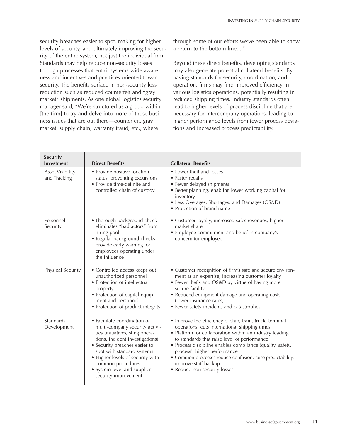security breaches easier to spot, making for higher levels of security, and ultimately improving the security of the entire system, not just the individual firm. Standards may help reduce non-security losses through processes that entail systems-wide awareness and incentives and practices oriented toward security. The benefits surface in non-security loss reduction such as reduced counterfeit and "gray market" shipments. As one global logistics security manager said, "We're structured as a group within [the firm] to try and delve into more of those business issues that are out there—counterfeit, gray market, supply chain, warranty fraud, etc., where

through some of our efforts we've been able to show a return to the bottom line...."

Beyond these direct benefits, developing standards may also generate potential collateral benefits. By having standards for security, coordination, and operation, firms may find improved efficiency in various logistics operations, potentially resulting in reduced shipping times. Industry standards often lead to higher levels of process discipline that are necessary for intercompany operations, leading to higher performance levels from fewer process deviations and increased process predictability.

| <b>Security</b><br><b>Investment</b>    | <b>Direct Benefits</b>                                                                                                                                                                                                                                                                                              | <b>Collateral Benefits</b>                                                                                                                                                                                                                                                                                                                                                                                                              |
|-----------------------------------------|---------------------------------------------------------------------------------------------------------------------------------------------------------------------------------------------------------------------------------------------------------------------------------------------------------------------|-----------------------------------------------------------------------------------------------------------------------------------------------------------------------------------------------------------------------------------------------------------------------------------------------------------------------------------------------------------------------------------------------------------------------------------------|
| <b>Asset Visibility</b><br>and Tracking | • Provide positive location<br>status, preventing excursions<br>• Provide time-definite and<br>controlled chain of custody                                                                                                                                                                                          | • Lower theft and losses<br>• Faster recalls<br>• Fewer delayed shipments<br>• Better planning, enabling lower working capital for<br>inventory<br>• Less Overages, Shortages, and Damages (OS&D)<br>• Protection of brand name                                                                                                                                                                                                         |
| Personnel<br>Security                   | • Thorough background check<br>eliminates "bad actors" from<br>hiring pool<br>• Regular background checks<br>provide early warning for<br>employees operating under<br>the influence                                                                                                                                | • Customer loyalty, increased sales revenues, higher<br>market share<br>• Employee commitment and belief in company's<br>concern for employee                                                                                                                                                                                                                                                                                           |
| Physical Security                       | • Controlled access keeps out<br>unauthorized personnel<br>• Protection of intellectual<br>property<br>• Protection of capital equip-<br>ment and personnel<br>• Protection of product integrity                                                                                                                    | • Customer recognition of firm's safe and secure environ-<br>ment as an expertise, increasing customer loyalty<br>• Fewer thefts and OS&D by virtue of having more<br>secure facility<br>• Reduced equipment damage and operating costs<br>(lower insurance rates)<br>• Fewer safety incidents and catastrophes                                                                                                                         |
| Standards<br>Development                | • Facilitate coordination of<br>multi-company security activi-<br>ties (initiatives, sting opera-<br>tions, incident investigations)<br>• Security breaches easier to<br>spot with standard systems<br>• Higher levels of security with<br>common procedures<br>• System-level and supplier<br>security improvement | • Improve the efficiency of ship, train, truck, terminal<br>operations; cuts international shipping times<br>• Platform for collaboration within an industry leading<br>to standards that raise level of performance<br>• Process discipline enables compliance (quality, safety,<br>process), higher performance<br>• Common processes reduce confusion, raise predictability,<br>improve staff backup<br>• Reduce non-security losses |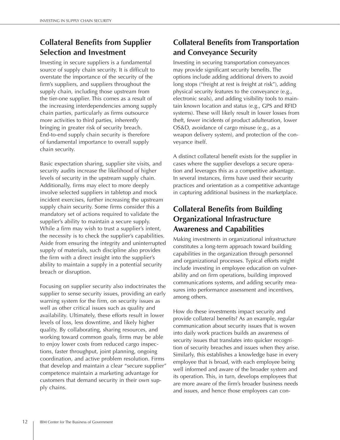# **Collateral Benefits from Supplier Selection and Investment**

Investing in secure suppliers is a fundamental source of supply chain security. It is difficult to overstate the importance of the security of the firm's suppliers, and suppliers throughout the supply chain, including those upstream from the tier-one supplier. This comes as a result of the increasing interdependencies among supply chain parties, particularly as firms outsource more activities to third parties, inherently bringing in greater risk of security breach. End-to-end supply chain security is therefore of fundamental importance to overall supply chain security.

Basic expectation sharing, supplier site visits, and security audits increase the likelihood of higher levels of security in the upstream supply chain. Additionally, firms may elect to more deeply involve selected suppliers in tabletop and mock incident exercises, further increasing the upstream supply chain security. Some firms consider this a mandatory set of actions required to validate the supplier's ability to maintain a secure supply. While a firm may wish to trust a supplier's intent, the necessity is to check the supplier's capabilities. Aside from ensuring the integrity and uninterrupted supply of materials, such discipline also provides the firm with a direct insight into the supplier's ability to maintain a supply in a potential security breach or disruption.

Focusing on supplier security also indoctrinates the supplier to sense security issues, providing an early warning system for the firm, on security issues as well as other critical issues such as quality and availability. Ultimately, these efforts result in lower levels of loss, less downtime, and likely higher quality. By collaborating, sharing resources, and working toward common goals, firms may be able to enjoy lower costs from reduced cargo inspections, faster throughput, joint planning, ongoing coordination, and active problem resolution. Firms that develop and maintain a clear "secure supplier" competence maintain a marketing advantage for customers that demand security in their own supply chains.

# **Collateral Benefits from Transportation** and Conveyance Security

Investing in securing transportation conveyances may provide significant security benefits. The options include adding additional drivers to avoid long stops ("freight at rest is freight at risk"), adding physical security features to the conveyance (e.g., electronic seals), and adding visibility tools to maintain known location and status (e.g., GPS and RFID systems). These will likely result in lower losses from theft, fewer incidents of product adulteration, lower OS&D, avoidance of cargo misuse (e.g., as a weapon delivery system), and protection of the conveyance itself.

A distinct collateral benefit exists for the supplier in cases where the supplier develops a secure operation and leverages this as a competitive advantage. In several instances, firms have used their security practices and orientation as a competitive advantage in capturing additional business in the marketplace.

# **Collateral Benefits from Building Organizational Infrastructure Awareness and Capabilities**

Making investments in organizational infrastructure constitutes a long-term approach toward building capabilities in the organization through personnel and organizational processes. Typical efforts might include investing in employee education on vulnerability and on firm operations, building improved communications systems, and adding security measures into performance assessment and incentives, among others.

How do these investments impact security and provide collateral benefits? As an example, regular communication about security issues that is woven into daily work practices builds an awareness of security issues that translates into quicker recognition of security breaches and issues when they arise. Similarly, this establishes a knowledge base in every employee that is broad, with each employee being well informed and aware of the broader system and its operation. This, in turn, develops employees that are more aware of the firm's broader business needs and issues, and hence those employees can con-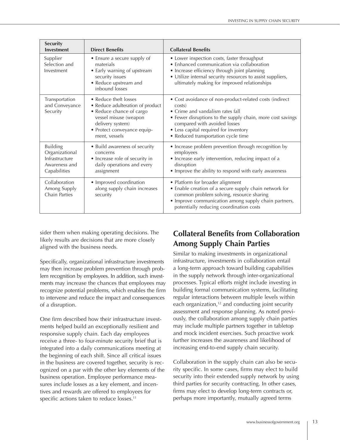| <b>Security</b><br><b>Investment</b>                                                 | <b>Direct Benefits</b>                                                                                                                                                             | <b>Collateral Benefits</b>                                                                                                                                                                                                                                                          |  |  |
|--------------------------------------------------------------------------------------|------------------------------------------------------------------------------------------------------------------------------------------------------------------------------------|-------------------------------------------------------------------------------------------------------------------------------------------------------------------------------------------------------------------------------------------------------------------------------------|--|--|
| Supplier<br>Selection and<br>Investment                                              | • Ensure a secure supply of<br>materials<br>• Early warning of upstream<br>security issues<br>• Reduce upstream and<br>inbound losses                                              | • Lower inspection costs, faster throughput<br>• Enhanced communication via collaboration<br>• Increase efficiency through joint planning<br>• Utilize internal security resources to assist suppliers,<br>ultimately making for improved relationships                             |  |  |
| Transportation<br>and Conveyance<br>Security                                         | • Reduce theft losses<br>• Reduce adulteration of product<br>• Reduce chance of cargo<br>vessel misuse (weapon<br>delivery system)<br>· Protect conveyance equip-<br>ment, vessels | • Cost avoidance of non-product-related costs (indirect<br>costs)<br>• Crime and vandalism rates fall<br>• Fewer disruptions to the supply chain, more cost savings<br>compared with avoided losses<br>• Less capital required for inventory<br>• Reduced transportation cycle time |  |  |
| <b>Building</b><br>Organizational<br>Infrastructure<br>Awareness and<br>Capabilities | • Build awareness of security<br>concerns<br>• Increase role of security in<br>daily operations and every<br>assignment                                                            | • Increase problem prevention through recognition by<br>employees<br>• Increase early intervention, reducing impact of a<br>disruption<br>• Improve the ability to respond with early awareness                                                                                     |  |  |
| Collaboration<br>Among Supply<br>Chain Parties                                       | • Improved coordination<br>along supply chain increases<br>security                                                                                                                | • Platform for broader alignment<br>• Enable creation of a secure supply chain network for<br>common problem solving, resource sharing<br>• Improve communication among supply chain partners,<br>potentially reducing coordination costs                                           |  |  |

sider them when making operating decisions. The likely results are decisions that are more closely aligned with the business needs.

Specifically, organizational infrastructure investments may then increase problem prevention through problem recognition by employees. In addition, such investments may increase the chances that employees may recognize potential problems, which enables the firm to intervene and reduce the impact and consequences of a disruption.

One firm described how their infrastructure investments helped build an exceptionally resilient and responsive supply chain. Each day employees receive a three- to four-minute security brief that is integrated into a daily communications meeting at the beginning of each shift. Since all critical issues in the business are covered together, security is recognized on a par with the other key elements of the business operation. Employee performance measures include losses as a key element, and incentives and rewards are offered to employees for specific actions taken to reduce losses.<sup>11</sup>

# **Collateral Benefits from Collaboration Among Supply Chain Parties**

Similar to making investments in organizational infrastructure, investments in collaboration entail a long-term approach toward building capabilities in the supply network through inter-organizational processes. Typical efforts might include investing in building formal communication systems, facilitating regular interactions between multiple levels within each organization, $12$  and conducting joint security assessment and response planning. As noted previously, the collaboration among supply chain parties may include multiple partners together in tabletop and mock incident exercises. Such proactive work further increases the awareness and likelihood of increasing end-to-end supply chain security.

Collaboration in the supply chain can also be security specific. In some cases, firms may elect to build security into their extended supply network by using third parties for security contracting. In other cases, firms may elect to develop long-term contracts or, perhaps more importantly, mutually agreed terms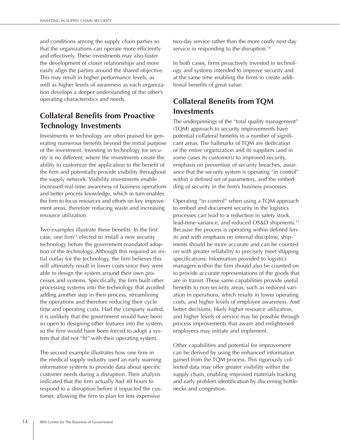and conditions among the supply chain parties so that the organizations can operate more efficiently and effectively. These investments may also foster the development of closer relationships and more easily align the parties around the shared objective. This may result in higher performance levels, as well as higher levels of awareness as each organization develops a deeper understanding of the other's operating characteristics and needs.

# **Collateral Benefits from Proactive Technology Investments**

Investments in technology are often praised for generating numerous benefits beyond the initial purpose of the investment. Investing in technology for security is no different, where the investments create the ability to customize the application to the benefit of the firm and potentially provide visibility throughout the supply network. Visibility investments enable increased real-time awareness of business operations and better process knowledge, which in turn enables the firm to focus resources and efforts on key improvement areas, therefore reducing waste and increasing resource utilization.

Two examples illustrate these benefits. In the first case, one firm<sup>13</sup> elected to install a new security technology before the government-mandated adoption of the technology. Although this required an initial outlay for the technology, the firm believes this will ultimately result in lower costs since they were able to design the system around their own processes and systems. Specifically, the firm built other processing systems into the technology that avoided adding another step in their process, streamlining the operations and therefore reducing their cycle time and operating costs. Had the company waited, it is unlikely that the government would have been so open to designing other features into the system, so the firm would have been forced to adopt a system that did not "fit" with their operating system.

The second example illustrates how one firm in the medical supply industry used an early warning information systems to provide data about specific customer needs during a disruption. Their analysis indicated that the firm actually had 48 hours to respond to a disruption before it impacted the customer, allowing the firm to plan for less expensive

two-day service rather than the more costly next-day service in responding to the disruption.<sup>14</sup>

In both cases, firms proactively invested in technology and systems intended to improve security and at the same time enabling the firms to create additional benefits of great value.

# **Collateral Benefits from TQM Investments**

The underpinnings of the "total quality management" (TQM) approach to security improvements have potential collateral benefits in a number of significant areas. The hallmarks of TQM are dedication of the entire organization and its suppliers (and in some cases its customers) to improved security, emphasis on prevention of security breaches, assurance that the security system is operating "in control" within a defined set of parameters, and the embedding of security in the firm's business processes.

Operating "in control" when using a TQM approach to embed and document security in the logistics processes can lead to a reduction in safety stock, lead-time variance, and reduced OS&D shipments.<sup>15</sup> Because the process is operating within defined limits and with emphasis on internal discipline, shipments should be more accurate and can be counted on with greater reliability to precisely meet shipping specifications. Information provided to logistics managers within the firm should also be counted on to provide accurate representations of the goods that are in transit. These same capabilities provide useful benefits to non-security areas, such as reduced variation in operations, which results in lower operating costs, and higher levels of employee awareness. And better decisions, likely higher resource utilization, and higher levels of service may be possible through process improvements that aware and enlightened employees may initiate and implement.

Other capabilities and potential for improvement can be derived by using the enhanced information gained from the TQM process. This rigorously collected data may offer greater visibility within the supply chain, enabling improved materials tracking and early problem identification by discerning bottlenecks and congestion.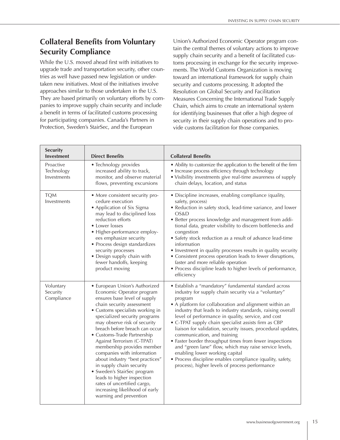# **Collateral Benefits from Voluntary Security Compliance**

While the U.S. moved ahead first with initiatives to upgrade trade and transportation security, other countries as well have passed new legislation or undertaken new initiatives. Most of the initiatives involve approaches similar to those undertaken in the U.S. They are based primarily on voluntary efforts by companies to improve supply chain security and include a benefit in terms of facilitated customs processing for participating companies. Canada's Partners in Protection, Sweden's StairSec, and the European

Union's Authorized Economic Operator program contain the central themes of voluntary actions to improve supply chain security and a benefit of facilitated customs processing in exchange for the security improvements. The World Customs Organization is moving toward an international framework for supply chain security and customs processing. It adopted the Resolution on Global Security and Facilitation Measures Concerning the International Trade Supply Chain, which aims to create an international system for identifying businesses that offer a high degree of security in their supply chain operations and to provide customs facilitation for those companies.

| Security<br><b>Investment</b>          | <b>Direct Benefits</b>                                                                                                                                                                                                                                                                                                                                                                                                                                                                                                                                                                                         | <b>Collateral Benefits</b>                                                                                                                                                                                                                                                                                                                                                                                                                                                                                                                                                                                                                                                                                                          |
|----------------------------------------|----------------------------------------------------------------------------------------------------------------------------------------------------------------------------------------------------------------------------------------------------------------------------------------------------------------------------------------------------------------------------------------------------------------------------------------------------------------------------------------------------------------------------------------------------------------------------------------------------------------|-------------------------------------------------------------------------------------------------------------------------------------------------------------------------------------------------------------------------------------------------------------------------------------------------------------------------------------------------------------------------------------------------------------------------------------------------------------------------------------------------------------------------------------------------------------------------------------------------------------------------------------------------------------------------------------------------------------------------------------|
| Proactive<br>Technology<br>Investments | • Technology provides<br>increased ability to track,<br>monitor, and observe material<br>flows, preventing excursions                                                                                                                                                                                                                                                                                                                                                                                                                                                                                          | • Ability to customize the application to the benefit of the firm<br>• Increase process efficiency through technology<br>• Visibility investments give real-time awareness of supply<br>chain delays, location, and status                                                                                                                                                                                                                                                                                                                                                                                                                                                                                                          |
| <b>TQM</b><br>Investments              | • More consistent security pro-<br>cedure execution<br>• Application of Six Sigma<br>may lead to disciplined loss<br>reduction efforts<br>• Lower losses<br>• Higher-performance employ-<br>ees emphasize security<br>• Process design standardizes<br>security processes<br>• Design supply chain with<br>fewer handoffs, keeping<br>product moving                                                                                                                                                                                                                                                           | · Discipline increases, enabling compliance (quality,<br>safety, process)<br>· Reduction in safety stock, lead-time variance, and lower<br>OS&D<br>• Better process knowledge and management from addi-<br>tional data, greater visibility to discern bottlenecks and<br>congestion<br>• Safety stock reduction as a result of advance lead-time<br>information<br>• Investment in quality processes results in quality security<br>• Consistent process operation leads to fewer disruptions,<br>faster and more reliable operation<br>• Process discipline leads to higher levels of performance,<br>efficiency                                                                                                                   |
| Voluntary<br>Security<br>Compliance    | • European Union's Authorized<br>Economic Operator program<br>ensures base level of supply<br>chain security assessment<br>• Customs specialists working in<br>specialized security programs<br>may observe risk of security<br>breach before breach can occur<br>• Customs-Trade Partnership<br>Against Terrorism (C-TPAT)<br>membership provides member<br>companies with information<br>about industry "best practices"<br>in supply chain security<br>· Sweden's StairSec program<br>leads to higher inspection<br>rates of uncertified cargo,<br>increasing likelihood of early<br>warning and prevention | · Establish a "mandatory" fundamental standard across<br>industry for supply chain security via a "voluntary"<br>program<br>• A platform for collaboration and alignment within an<br>industry that leads to industry standards, raising overall<br>level of performance in quality, service, and cost<br>• C-TPAT supply chain specialist assists firm as CBP<br>liaison for validation, security issues, procedural updates,<br>communication, and training<br>• Faster border throughput times from fewer inspections<br>and "green lane" flow, which may raise service levels,<br>enabling lower working capital<br>• Process discipline enables compliance (quality, safety,<br>process), higher levels of process performance |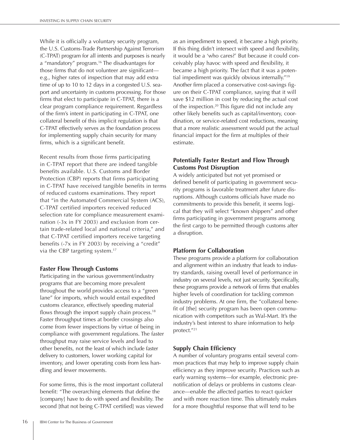While it is officially a voluntary security program, the U.S. Customs-Trade Partnership Against Terrorism (C-TPAT) program for all intents and purposes is nearly a "mandatory" program.<sup>16</sup> The disadvantages for those firms that do not volunteer are significante.g., higher rates of inspection that may add extra time of up to 10 to 12 days in a congested U.S. seaport and uncertainty in customs processing. For those firms that elect to participate in C-TPAT, there is a clear program compliance requirement. Regardless of the firm's intent in participating in C-TPAT, one collateral benefit of this implicit regulation is that C-TPAT effectively serves as the foundation process for implementing supply chain security for many firms, which is a significant benefit.

Recent results from those firms participating in C-TPAT report that there are indeed tangible benefits available. U.S. Customs and Border Protection (CBP) reports that firms participating in C-TPAT have received tangible benefits in terms of reduced customs examinations. They report that "in the Automated Commercial System (ACS), C-TPAT certified importers received reduced selection rate for compliance measurement examination (-3x in FY 2003) and exclusion from certain trade-related local and national criteria," and that C-TPAT certified importers receive targeting benefits (-7x in FY 2003) by receiving a "credit" via the CBP targeting system.<sup>17</sup>

## **Faster Flow Through Customs**

Participating in the various government/industry programs that are becoming more prevalent throughout the world provides access to a "green lane" for imports, which would entail expedited customs clearance, effectively speeding material flows through the import supply chain process.<sup>18</sup> Faster throughput times at border crossings also come from fewer inspections by virtue of being in compliance with government regulations. The faster throughput may raise service levels and lead to other benefits, not the least of which include faster delivery to customers, lower working capital for inventory, and lower operating costs from less handling and fewer movements.

For some firms, this is the most important collateral benefit: "The overarching elements that define the [company] have to do with speed and flexibility. The second [that not being C-TPAT certified] was viewed

as an impediment to speed, it became a high priority. If this thing didn't intersect with speed and flexibility, it would be a 'who cares?' But because it could conceivably play havoc with speed and flexibility, it became a high priority. The fact that it was a potential impediment was quickly obvious internally."<sup>19</sup> Another firm placed a conservative cost-savings figure on their C-TPAT compliance, saying that it will save \$12 million in cost by reducing the actual cost of the inspection.<sup>20</sup> This figure did not include any other likely benefits such as capital/inventory, coordination, or service-related cost reductions, meaning that a more realistic assessment would put the actual financial impact for the firm at multiples of their estimate.

## **Potentially Faster Restart and Flow Through Customs Post Disruption**

A widely anticipated but not yet promised or defined benefit of participating in government security programs is favorable treatment after future disruptions. Although customs officials have made no commitments to provide this benefit, it seems logical that they will select "known shippers" and other firms participating in government programs among the first cargo to be permitted through customs after a disruption.

## **Platform for Collaboration**

These programs provide a platform for collaboration and alignment within an industry that leads to industry standards, raising overall level of performance in industry on several levels, not just security. Specifically, these programs provide a network of firms that enables higher levels of coordination for tackling common industry problems. At one firm, the "collateral benefit of [the] security program has been open communication with competitors such as Wal-Mart. It's the industry's best interest to share information to help protect."<sup>21</sup>

## **Supply Chain Efficiency**

A number of voluntary programs entail several common practices that may help to improve supply chain efficiency as they improve security. Practices such as early warning systems—for example, electronic prenotification of delays or problems in customs clearance-enable the affected parties to react quicker and with more reaction time. This ultimately makes for a more thoughtful response that will tend to be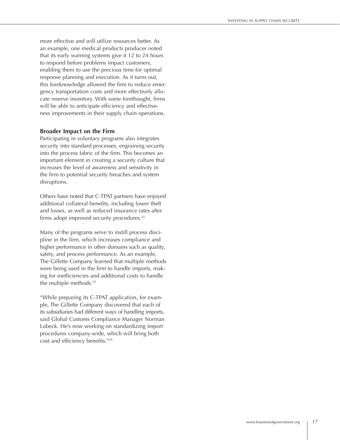more effective and will utilize resources better. As an example, one medical products producer noted that its early warning systems give it 12 to 24 hours to respond before problems impact customers, enabling them to use the precious time for optimal response planning and execution. As it turns out, this foreknowledge allowed the firm to reduce emergency transportation costs and more effectively allocate reserve inventory. With some forethought, firms will be able to anticipate efficiency and effectiveness improvements in their supply chain operations.

### **Broader Impact on the Firm**

Participating in voluntary programs also integrates security into standard processes, engraining security into the process fabric of the firm. This becomes an important element in creating a security culture that increases the level of awareness and sensitivity in the firm to potential security breaches and system disruptions.

Others have noted that C-TPAT partners have enjoyed additional collateral benefits, including lower theft and losses, as well as reduced insurance rates after firms adopt improved security procedures.<sup>22</sup>

Many of the programs serve to instill process discipline in the firm, which increases compliance and higher performance in other domains such as quality, safety, and process performance. As an example, The Gillette Company learned that multiple methods were being used in the firm to handle imports, making for inefficiencies and additional costs to handle the multiple methods. $23$ 

"While preparing its C-TPAT application, for example, The Gillette Company discovered that each of its subsidiaries had different ways of handling imports, said Global Customs Compliance Manager Norman Lubeck. He's now working on standardizing import procedures company-wide, which will bring both cost and efficiency benefits."<sup>24</sup>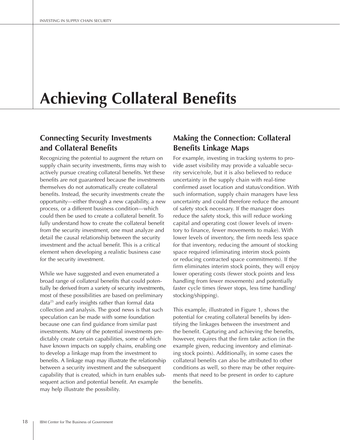# **Achieving Collateral Benefits**

# **Connecting Security Investments** and Collateral Benefits

Recognizing the potential to augment the return on supply chain security investments, firms may wish to actively pursue creating collateral benefits. Yet these benefits are not guaranteed because the investments themselves do not automatically create collateral benefits. Instead, the security investments create the opportunity—either through a new capability, a new process, or a different business condition—which could then be used to create a collateral benefit. To fully understand how to create the collateral benefit from the security investment, one must analyze and detail the causal relationship between the security investment and the actual benefit. This is a critical element when developing a realistic business case for the security investment.

While we have suggested and even enumerated a broad range of collateral benefits that could potentially be derived from a variety of security investments, most of these possibilities are based on preliminary data<sup>25</sup> and early insights rather than formal data collection and analysis. The good news is that such speculation can be made with some foundation because one can find guidance from similar past investments. Many of the potential investments predictably create certain capabilities, some of which have known impacts on supply chains, enabling one to develop a linkage map from the investment to benefits. A linkage map may illustrate the relationship between a security investment and the subsequent capability that is created, which in turn enables subsequent action and potential benefit. An example may help illustrate the possibility.

# **Making the Connection: Collateral Benefits Linkage Maps**

For example, investing in tracking systems to provide asset visibility may provide a valuable security service/role, but it is also believed to reduce uncertainty in the supply chain with real-time confirmed asset location and status/condition. With such information, supply chain managers have less uncertainty and could therefore reduce the amount of safety stock necessary. If the manager does reduce the safety stock, this will reduce working capital and operating cost (lower levels of inventory to finance, fewer movements to make). With lower levels of inventory, the firm needs less space for that inventory, reducing the amount of stocking space required (eliminating interim stock points or reducing contracted space commitments). If the firm eliminates interim stock points, they will enjoy lower operating costs (fewer stock points and less handling from fewer movements) and potentially faster cycle times (fewer stops, less time handling/ stocking/shipping).

This example, illustrated in Figure 1, shows the potential for creating collateral benefits by identifying the linkages between the investment and the benefit. Capturing and achieving the benefits, however, requires that the firm take action (in the example given, reducing inventory and eliminating stock points). Additionally, in some cases the collateral benefits can also be attributed to other conditions as well, so there may be other requirements that need to be present in order to capture the benefits.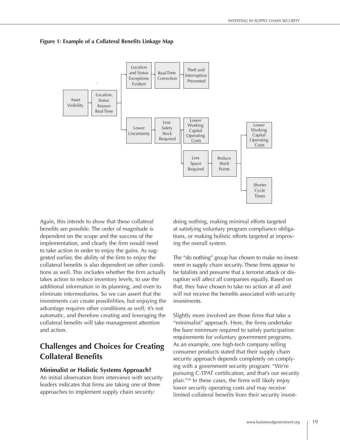#### Figure 1: Example of a Collateral Benefits Linkage Map



Again, this intends to show that these collateral benefits are possible. The order of magnitude is dependent on the scope and the success of the implementation, and clearly the firm would need to take action in order to enjoy the gains. As suggested earlier, the ability of the firm to enjoy the collateral benefits is also dependent on other conditions as well. This includes whether the firm actually takes action to reduce inventory levels, to use the additional information in its planning, and even to eliminate intermediaries. So we can assert that the investments can create possibilities, but enjoying the advantage requires other conditions as well; it's not automatic, and therefore creating and leveraging the collateral benefits will take management attention and action.

## **Challenges and Choices for Creating Collateral Benefits**

#### **Minimalist or Holistic Systems Approach?**

An initial observation from interviews with security leaders indicates that firms are taking one of three approaches to implement supply chain security:

doing nothing, making minimal efforts targeted at satisfying voluntary program compliance obligations, or making holistic efforts targeted at improving the overall system.

The "do nothing" group has chosen to make no investment in supply chain security. These firms appear to be fatalists and presume that a terrorist attack or disruption will affect all companies equally. Based on that, they have chosen to take no action at all and will not receive the benefits associated with security investments.

Slightly more involved are those firms that take a "minimalist" approach. Here, the firms undertake the bare minimum required to satisfy participation requirements for voluntary government programs. As an example, one high-tech company selling consumer products stated that their supply chain security approach depends completely on complying with a government security program: "We're pursuing C-TPAT certification, and that's our security plan."<sup>26</sup> In these cases, the firms will likely enjoy lower security operating costs and may receive limited collateral benefits from their security invest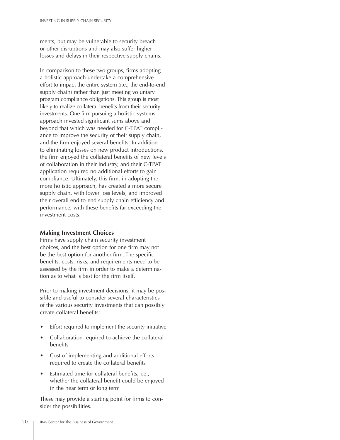ments, but may be vulnerable to security breach or other disruptions and may also suffer higher losses and delays in their respective supply chains.

In comparison to these two groups, firms adopting a holistic approach undertake a comprehensive effort to impact the entire system (i.e., the end-to-end supply chain) rather than just meeting voluntary program compliance obligations. This group is most likely to realize collateral benefits from their security investments. One firm pursuing a holistic systems approach invested significant sums above and beyond that which was needed for C-TPAT compliance to improve the security of their supply chain, and the firm enjoyed several benefits. In addition to eliminating losses on new product introductions, the firm enjoyed the collateral benefits of new levels of collaboration in their industry, and their C-TPAT application required no additional efforts to gain compliance. Ultimately, this firm, in adopting the more holistic approach, has created a more secure supply chain, with lower loss levels, and improved their overall end-to-end supply chain efficiency and performance, with these benefits far exceeding the investment costs.

### **Making Investment Choices**

Firms have supply chain security investment choices, and the best option for one firm may not be the best option for another firm. The specific benefits, costs, risks, and requirements need to be assessed by the firm in order to make a determination as to what is best for the firm itself.

Prior to making investment decisions, it may be possible and useful to consider several characteristics of the various security investments that can possibly create collateral benefits:

- Effort required to implement the security initiative
- Collaboration required to achieve the collateral benefits
- Cost of implementing and additional efforts required to create the collateral benefits
- Estimated time for collateral benefits, *i.e.*, whether the collateral benefit could be enjoyed in the near term or long term

These may provide a starting point for firms to consider the possibilities.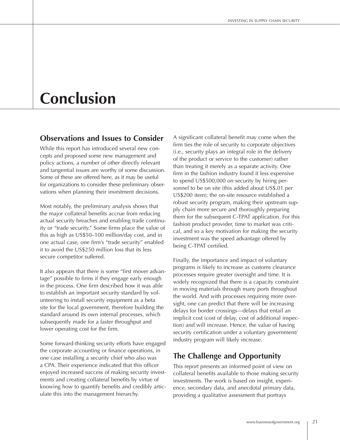# Conclusion

## **Observations and Issues to Consider**

While this report has introduced several new concepts and proposed some new management and policy actions, a number of other directly relevant and tangential issues are worthy of some discussion. Some of these are offered here, as it may be useful for organizations to consider these preliminary observations when planning their investment decisions.

Most notably, the preliminary analysis shows that the major collateral benefits accrue from reducing actual security breaches and enabling trade continuity or "trade security." Some firms place the value of this as high as US\$50-100 million/day cost, and in one actual case, one firm's "trade security" enabled it to avoid the US\$250 million loss that its less secure competitor suffered.

It also appears that there is some "first mover advantage" possible to firms if they engage early enough in the process. One firm described how it was able to establish an important security standard by volunteering to install security equipment as a beta site for the local government, therefore building the standard around its own internal processes, which subsequently made for a faster throughput and lower operating cost for the firm.

Some forward-thinking security efforts have engaged the corporate accounting or finance operations, in one case installing a security chief who also was a CPA. Their experience indicated that this officer enjoyed increased success of making security investments and creating collateral benefits by virtue of knowing how to quantify benefits and credibly articulate this into the management hierarchy.

A significant collateral benefit may come when the firm ties the role of security to corporate objectives (i.e., security plays an integral role in the delivery of the product or service to the customer) rather than treating it merely as a separate activity. One firm in the fashion industry found it less expensive to spend US\$500,000 on security by hiring personnel to be on site (this added about US\$.01 per US\$200 item); the on-site resource established a robust security program, making their upstream supply chain more secure and thoroughly preparing them for the subsequent C-TPAT application. For this fashion product provider, time to market was critical, and so a key motivation for making the security investment was the speed advantage offered by being C-TPAT certified.

Finally, the importance and impact of voluntary programs is likely to increase as customs clearance processes require greater oversight and time. It is widely recognized that there is a capacity constraint in moving materials through many ports throughout the world. And with processes requiring more oversight, one can predict that there will be increasing delays for border crossings—delays that entail an implicit cost (cost of delay, cost of additional inspection) and will increase. Hence, the value of having security certification under a voluntary government/ industry program will likely increase.

# The Challenge and Opportunity

This report presents an informed point of view on collateral benefits available to those making security investments. The work is based on insight, experience, secondary data, and anecdotal primary data, providing a qualitative assessment that portrays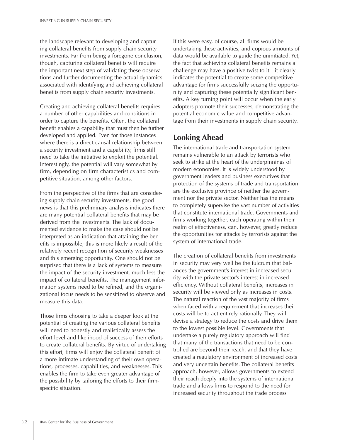the landscape relevant to developing and capturing collateral benefits from supply chain security investments. Far from being a foregone conclusion, though, capturing collateral benefits will require the important next step of validating these observations and further documenting the actual dynamics associated with identifying and achieving collateral benefits from supply chain security investments.

Creating and achieving collateral benefits requires a number of other capabilities and conditions in order to capture the benefits. Often, the collateral benefit enables a capability that must then be further developed and applied. Even for those instances where there is a direct causal relationship between a security investment and a capability, firms still need to take the initiative to exploit the potential. Interestingly, the potential will vary somewhat by firm, depending on firm characteristics and competitive situation, among other factors.

From the perspective of the firms that are considering supply chain security investments, the good news is that this preliminary analysis indicates there are many potential collateral benefits that may be derived from the investments. The lack of documented evidence to make the case should not be interpreted as an indication that attaining the benefits is impossible; this is more likely a result of the relatively recent recognition of security weaknesses and this emerging opportunity. One should not be surprised that there is a lack of systems to measure the impact of the security investment, much less the impact of collateral benefits. The management information systems need to be refined, and the organizational focus needs to be sensitized to observe and measure this data.

Those firms choosing to take a deeper look at the potential of creating the various collateral benefits will need to honestly and realistically assess the effort level and likelihood of success of their efforts to create collateral benefits. By virtue of undertaking this effort, firms will enjoy the collateral benefit of a more intimate understanding of their own operations, processes, capabilities, and weaknesses. This enables the firm to take even greater advantage of the possibility by tailoring the efforts to their firmspecific situation.

If this were easy, of course, all firms would be undertaking these activities, and copious amounts of data would be available to guide the uninitiated. Yet, the fact that achieving collateral benefits remains a challenge may have a positive twist to it-it clearly indicates the potential to create some competitive advantage for firms successfully seizing the opportunity and capturing these potentially significant benefits. A key turning point will occur when the early adopters promote their successes, demonstrating the potential economic value and competitive advantage from their investments in supply chain security.

# **Looking Ahead**

The international trade and transportation system remains vulnerable to an attack by terrorists who seek to strike at the heart of the underpinnings of modern economies. It is widely understood by government leaders and business executives that protection of the systems of trade and transportation are the exclusive province of neither the government nor the private sector. Neither has the means to completely supervise the vast number of activities that constitute international trade. Governments and firms working together, each operating within their realm of effectiveness, can, however, greatly reduce the opportunities for attacks by terrorists against the system of international trade.

The creation of collateral benefits from investments in security may very well be the fulcrum that balances the government's interest in increased security with the private sector's interest in increased efficiency. Without collateral benefits, increases in security will be viewed only as increases in costs. The natural reaction of the vast majority of firms when faced with a requirement that increases their costs will be to act entirely rationally. They will devise a strategy to reduce the costs and drive them to the lowest possible level. Governments that undertake a purely regulatory approach will find that many of the transactions that need to be controlled are beyond their reach, and that they have created a regulatory environment of increased costs and very uncertain benefits. The collateral benefits approach, however, allows governments to extend their reach deeply into the systems of international trade and allows firms to respond to the need for increased security throughout the trade process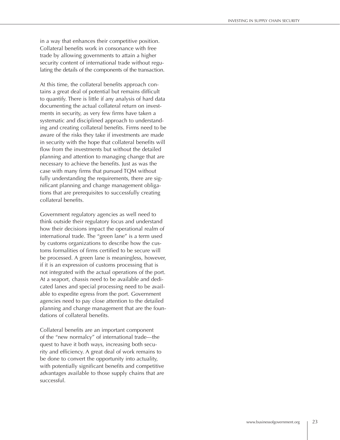in a way that enhances their competitive position. Collateral benefits work in consonance with free trade by allowing governments to attain a higher security content of international trade without regulating the details of the components of the transaction.

At this time, the collateral benefits approach contains a great deal of potential but remains difficult to quantify. There is little if any analysis of hard data documenting the actual collateral return on investments in security, as very few firms have taken a systematic and disciplined approach to understanding and creating collateral benefits. Firms need to be aware of the risks they take if investments are made in security with the hope that collateral benefits will flow from the investments but without the detailed planning and attention to managing change that are necessary to achieve the benefits. Just as was the case with many firms that pursued TQM without fully understanding the requirements, there are significant planning and change management obligations that are prerequisites to successfully creating collateral benefits.

Government regulatory agencies as well need to think outside their regulatory focus and understand how their decisions impact the operational realm of international trade. The "green lane" is a term used by customs organizations to describe how the customs formalities of firms certified to be secure will be processed. A green lane is meaningless, however, If it is an expression of customs processing that is not integrated with the actual operations of the port. At a seaport, chassis need to be available and dedicated lanes and special processing need to be available to expedite egress from the port. Government agencies need to pay close attention to the detailed planning and change management that are the foundations of collateral benefits.

Collateral benefits are an important component of the "new normalcy" of international trade—the quest to have it both ways, increasing both security and efficiency. A great deal of work remains to be done to convert the opportunity into actuality, with potentially significant benefits and competitive advantages available to those supply chains that are successful.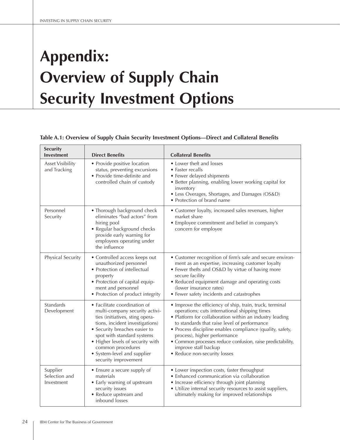# **Appendix: Overview of Supply Chain Security Investment Options**

### Table A.1: Overview of Supply Chain Security Investment Options-Direct and Collateral Benefits

| <b>Security</b><br><b>Investment</b>    | <b>Direct Benefits</b>                                                                                                                                                                                                                                                                                              | <b>Collateral Benefits</b>                                                                                                                                                                                                                                                                                                                                                                                                              |  |  |  |  |
|-----------------------------------------|---------------------------------------------------------------------------------------------------------------------------------------------------------------------------------------------------------------------------------------------------------------------------------------------------------------------|-----------------------------------------------------------------------------------------------------------------------------------------------------------------------------------------------------------------------------------------------------------------------------------------------------------------------------------------------------------------------------------------------------------------------------------------|--|--|--|--|
| <b>Asset Visibility</b><br>and Tracking | • Provide positive location<br>status, preventing excursions<br>• Provide time-definite and<br>controlled chain of custody                                                                                                                                                                                          | • Lower theft and losses<br>• Faster recalls<br>• Fewer delayed shipments<br>• Better planning, enabling lower working capital for<br>inventory<br>• Less Overages, Shortages, and Damages (OS&D)<br>• Protection of brand name                                                                                                                                                                                                         |  |  |  |  |
| Personnel<br>Security                   | • Thorough background check<br>eliminates "bad actors" from<br>hiring pool<br>• Regular background checks<br>provide early warning for<br>employees operating under<br>the influence                                                                                                                                | • Customer loyalty, increased sales revenues, higher<br>market share<br>• Employee commitment and belief in company's<br>concern for employee                                                                                                                                                                                                                                                                                           |  |  |  |  |
| Physical Security                       | • Controlled access keeps out<br>unauthorized personnel<br>• Protection of intellectual<br>property<br>• Protection of capital equip-<br>ment and personnel<br>• Protection of product integrity                                                                                                                    | • Customer recognition of firm's safe and secure environ-<br>ment as an expertise, increasing customer loyalty<br>• Fewer thefts and OS&D by virtue of having more<br>secure facility<br>• Reduced equipment damage and operating costs<br>(lower insurance rates)<br>• Fewer safety incidents and catastrophes                                                                                                                         |  |  |  |  |
| Standards<br>Development                | • Facilitate coordination of<br>multi-company security activi-<br>ties (initiatives, sting opera-<br>tions, incident investigations)<br>• Security breaches easier to<br>spot with standard systems<br>• Higher levels of security with<br>common procedures<br>• System-level and supplier<br>security improvement | • Improve the efficiency of ship, train, truck, terminal<br>operations; cuts international shipping times<br>• Platform for collaboration within an industry leading<br>to standards that raise level of performance<br>• Process discipline enables compliance (quality, safety,<br>process), higher performance<br>• Common processes reduce confusion, raise predictability,<br>improve staff backup<br>• Reduce non-security losses |  |  |  |  |
| Supplier<br>Selection and<br>Investment | • Ensure a secure supply of<br>materials<br>• Early warning of upstream<br>security issues<br>• Reduce upstream and<br>inbound losses                                                                                                                                                                               | • Lower inspection costs, faster throughput<br>• Enhanced communication via collaboration<br>• Increase efficiency through joint planning<br>• Utilize internal security resources to assist suppliers,<br>ultimately making for improved relationships                                                                                                                                                                                 |  |  |  |  |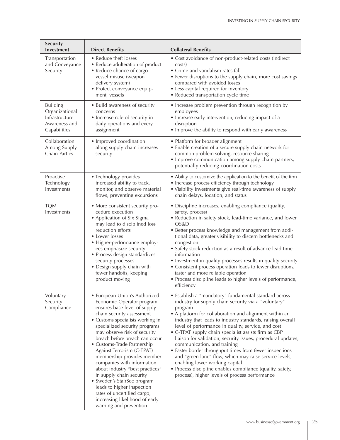| Security<br>Investment                                                               | <b>Direct Benefits</b>                                                                                                                                                                                                                                                                                                                                                                                                                                                                                                                                                                                         | <b>Collateral Benefits</b>                                                                                                                                                                                                                                                                                                                                                                                                                                                                                                                                                                                                                                                                                                          |  |  |  |  |
|--------------------------------------------------------------------------------------|----------------------------------------------------------------------------------------------------------------------------------------------------------------------------------------------------------------------------------------------------------------------------------------------------------------------------------------------------------------------------------------------------------------------------------------------------------------------------------------------------------------------------------------------------------------------------------------------------------------|-------------------------------------------------------------------------------------------------------------------------------------------------------------------------------------------------------------------------------------------------------------------------------------------------------------------------------------------------------------------------------------------------------------------------------------------------------------------------------------------------------------------------------------------------------------------------------------------------------------------------------------------------------------------------------------------------------------------------------------|--|--|--|--|
| Transportation<br>and Conveyance<br>Security                                         | • Reduce theft losses<br>• Reduce adulteration of product<br>• Reduce chance of cargo<br>vessel misuse (weapon<br>delivery system)<br>· Protect conveyance equip-<br>ment, vessels                                                                                                                                                                                                                                                                                                                                                                                                                             | • Cost avoidance of non-product-related costs (indirect<br>costs)<br>• Crime and vandalism rates fall<br>• Fewer disruptions to the supply chain, more cost savings<br>compared with avoided losses<br>• Less capital required for inventory<br>• Reduced transportation cycle time                                                                                                                                                                                                                                                                                                                                                                                                                                                 |  |  |  |  |
| <b>Building</b><br>Organizational<br>Infrastructure<br>Awareness and<br>Capabilities | • Build awareness of security<br>concerns<br>• Increase role of security in<br>daily operations and every<br>assignment                                                                                                                                                                                                                                                                                                                                                                                                                                                                                        | • Increase problem prevention through recognition by<br>employees<br>• Increase early intervention, reducing impact of a<br>disruption<br>• Improve the ability to respond with early awareness                                                                                                                                                                                                                                                                                                                                                                                                                                                                                                                                     |  |  |  |  |
| Collaboration<br>Among Supply<br>Chain Parties                                       | • Improved coordination<br>along supply chain increases<br>security                                                                                                                                                                                                                                                                                                                                                                                                                                                                                                                                            | • Platform for broader alignment<br>• Enable creation of a secure supply chain network for<br>common problem solving, resource sharing<br>• Improve communication among supply chain partners,<br>potentially reducing coordination costs                                                                                                                                                                                                                                                                                                                                                                                                                                                                                           |  |  |  |  |
| Proactive<br>Technology<br>Investments                                               | • Technology provides<br>increased ability to track,<br>monitor, and observe material<br>flows, preventing excursions                                                                                                                                                                                                                                                                                                                                                                                                                                                                                          | • Ability to customize the application to the benefit of the firm<br>• Increase process efficiency through technology<br>• Visibility investments give real-time awareness of supply<br>chain delays, location, and status                                                                                                                                                                                                                                                                                                                                                                                                                                                                                                          |  |  |  |  |
| <b>TQM</b><br>Investments                                                            | • More consistent security pro-<br>cedure execution<br>• Application of Six Sigma<br>may lead to disciplined loss<br>reduction efforts<br>• Lower losses<br>• Higher-performance employ-<br>ees emphasize security<br>• Process design standardizes<br>security processes<br>• Design supply chain with<br>fewer handoffs, keeping<br>product moving                                                                                                                                                                                                                                                           | • Discipline increases, enabling compliance (quality,<br>safety, process)<br>• Reduction in safety stock, lead-time variance, and lower<br>OS&D<br>• Better process knowledge and management from addi-<br>tional data, greater visibility to discern bottlenecks and<br>congestion<br>• Safety stock reduction as a result of advance lead-time<br>information<br>• Investment in quality processes results in quality security<br>• Consistent process operation leads to fewer disruptions,<br>faster and more reliable operation<br>• Process discipline leads to higher levels of performance,<br>efficiency                                                                                                                   |  |  |  |  |
| Voluntary<br>Security<br>Compliance                                                  | • European Union's Authorized<br>Economic Operator program<br>ensures base level of supply<br>chain security assessment<br>• Customs specialists working in<br>specialized security programs<br>may observe risk of security<br>breach before breach can occur<br>• Customs-Trade Partnership<br>Against Terrorism (C-TPAT)<br>membership provides member<br>companies with information<br>about industry "best practices"<br>in supply chain security<br>• Sweden's StairSec program<br>leads to higher inspection<br>rates of uncertified cargo,<br>increasing likelihood of early<br>warning and prevention | • Establish a "mandatory" fundamental standard across<br>industry for supply chain security via a "voluntary"<br>program<br>• A platform for collaboration and alignment within an<br>industry that leads to industry standards, raising overall<br>level of performance in quality, service, and cost<br>• C-TPAT supply chain specialist assists firm as CBP<br>liaison for validation, security issues, procedural updates,<br>communication, and training<br>• Faster border throughput times from fewer inspections<br>and "green lane" flow, which may raise service levels,<br>enabling lower working capital<br>• Process discipline enables compliance (quality, safety,<br>process), higher levels of process performance |  |  |  |  |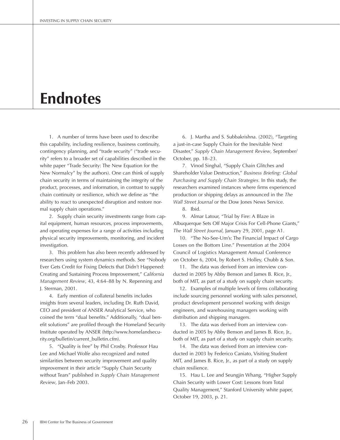# **Endnotes**

1. A number of terms have been used to describe this capability, including resilience, business continuity, contingency planning, and "trade security" ("trade security" refers to a broader set of capabilities described in the white paper "Trade Security: The New Equation for the New Normalcy" by the authors). One can think of supply chain security in terms of maintaining the integrity of the product, processes, and information, in contrast to supply chain continuity or resilience, which we define as "the ability to react to unexpected disruption and restore normal supply chain operations."

2. Supply chain security investments range from capital equipment, human resources, process improvements, and operating expenses for a range of activities including physical security improvements, monitoring, and incident investigation.

3. This problem has also been recently addressed by researchers using system dynamics methods. See "Nobody Ever Gets Credit for Fixing Defects that Didn't Happened: Creating and Sustaining Process Improvement," California Management Review, 43, 4:64-88 by N. Repenning and J. Sterman, 2001.

4. Early mention of collateral benefits includes insights from several leaders, including Dr. Ruth David, CEO and president of ANSER Analytical Service, who coined the term "dual benefits." Additionally, "dual benefit solutions" are profiled through the Homeland Security Institute operated by ANSER (http://www.homelandsecurity.org/bulletin/current\_bulletin.cfm).

5. "Quality is free" by Phil Crosby. Professor Hau Lee and Michael Wolfe also recognized and noted similarities between security improvement and quality improvement in their article "Supply Chain Security without Tears" published in Supply Chain Management Review, Jan-Feb 2003.

6. J. Martha and S. Subbakrishna. (2002), "Targeting a just-in-case Supply Chain for the Inevitable Next Disaster," Supply Chain Management Review, September/ October, pp. 18-23.

7. Vinod Singhal, "Supply Chain Glitches and Shareholder Value Destruction," Business Briefing: Global Purchasing and Supply Chain Strategies. In this study, the researchers examined instances where firms experienced production or shipping delays as announced in the The Wall Street Journal or the Dow Jones News Service.

8. Ibid.

9. Almar Latour, "Trial by Fire: A Blaze in Albuquerque Sets Off Major Crisis For Cell-Phone Giants," The Wall Street Journal, January 29, 2001, page A1.

10. "The No-See-Um's: The Financial Impact of Cargo Losses on the Bottom Line." Presentation at the 2004 Council of Logistics Management Annual Conference on October 6, 2004, by Robert S. Holley, Chubb & Son.

11. The data was derived from an interview conducted in 2005 by Abby Benson and James B. Rice, Jr., both of MIT, as part of a study on supply chain security.

12. Examples of multiple levels of firms collaborating include sourcing personnel working with sales personnel, product development personnel working with design engineers, and warehousing managers working with distribution and shipping managers.

13. The data was derived from an interview conducted in 2005 by Abby Benson and James B. Rice, Jr., both of MIT, as part of a study on supply chain security.

14. The data was derived from an interview conducted in 2003 by Federico Caniato, Visiting Student MIT, and James B. Rice, Jr., as part of a study on supply chain resilience.

15. Hau L. Lee and Seungjin Whang, "Higher Supply Chain Security with Lower Cost: Lessons from Total Quality Management," Stanford University white paper, October 19, 2003, p. 21.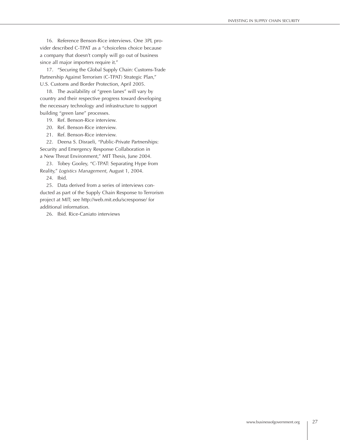16. Reference Benson-Rice interviews. One 3PL provider described C-TPAT as a "choiceless choice because a company that doesn't comply will go out of business since all major importers require it."

17. "Securing the Global Supply Chain: Customs-Trade Partnership Against Terrorism (C-TPAT) Strategic Plan," U.S. Customs and Border Protection, April 2005.

18. The availability of "green lanes" will vary by country and their respective progress toward developing the necessary technology and infrastructure to support building "green lane" processes.

19. Ref. Benson-Rice interview.

20. Ref. Benson-Rice interview.

21. Ref. Benson-Rice interview.

22. Deena S. Disraeli, "Public-Private Partnerships: Security and Emergency Response Collaboration in a New Threat Environment," MIT Thesis, June 2004.

23. Tobey Gooley, "C-TPAT: Separating Hype from Reality," Logistics Management, August 1, 2004.

24. Ibid.

25. Data derived from a series of interviews conducted as part of the Supply Chain Response to Terrorism project at MIT; see http://web.mit.edu/scresponse/ for additional information.

26. Ibid. Rice-Caniato interviews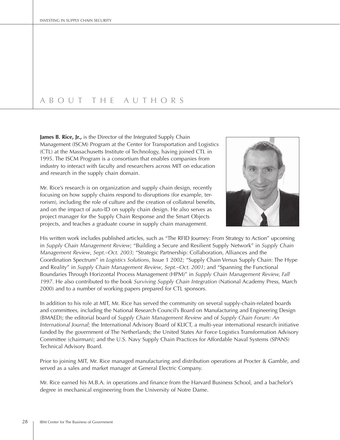# A B O U T T H E A U T H O R S

James B. Rice, Jr., is the Director of the Integrated Supply Chain Management (ISCM) Program at the Center for Transportation and Logistics (CTL) at the Massachusetts Institute of Technology, having joined CTL in 1995. The ISCM Program is a consortium that enables companies from industry to interact with faculty and researchers across MIT on education and research in the supply chain domain.

Mr. Rice's research is on organization and supply chain design, recently focusing on how supply chains respond to disruptions (for example, terrorism), including the role of culture and the creation of collateral benefits, and on the impact of auto-ID on supply chain design. He also serves as project manager for the Supply Chain Response and the Smart Objects projects, and teaches a graduate course in supply chain management.

His written work includes published articles, such as "The RFID Journey: From Strategy to Action" upcoming in Supply Chain Management Review; "Building a Secure and Resilient Supply Network" in Supply Chain Management Review, Sept.-Oct. 2003; "Strategic Partnership: Collaboration, Alliances and the Coordination Spectrum" in Logistics Solutions, Issue 1 2002; "Supply Chain Versus Supply Chain: The Hype and Reality" in Supply Chain Management Review, Sept.-Oct. 2001; and "Spanning the Functional Boundaries Through Horizontal Process Management (HPM)" in Supply Chain Management Review, Fall 1997. He also contributed to the book Surviving Supply Chain Integration (National Academy Press, March 2000) and to a number of working papers prepared for CTL sponsors.

In addition to his role at MIT, Mr. Rice has served the community on several supply-chain-related boards and committees, including the National Research Council's Board on Manufacturing and Engineering Design (BMAED); the editorial board of Supply Chain Management Review and of Supply Chain Forum: An International Journal; the International Advisory Board of KLICT, a multi-year international research initiative funded by the government of The Netherlands; the United States Air Force Logistics Transformation Advisory Committee (chairman); and the U.S. Navy Supply Chain Practices for Affordable Naval Systems (SPANS) Technical Advisory Board.

Prior to joining MIT, Mr. Rice managed manufacturing and distribution operations at Procter & Gamble, and served as a sales and market manager at General Electric Company.

Mr. Rice earned his M.B.A. in operations and finance from the Harvard Business School, and a bachelor's degree in mechanical engineering from the University of Notre Dame.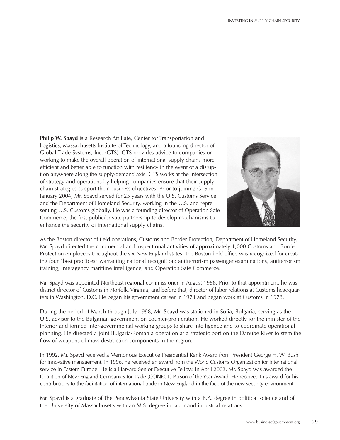Philip W. Spayd is a Research Affiliate, Center for Transportation and Logistics, Massachusetts Institute of Technology, and a founding director of Global Trade Systems, Inc. (GTS). GTS provides advice to companies on working to make the overall operation of international supply chains more efficient and better able to function with resiliency in the event of a disruption anywhere along the supply/demand axis. GTS works at the intersection of strategy and operations by helping companies ensure that their supply chain strategies support their business objectives. Prior to joining GTS in January 2004, Mr. Spayd served for 25 years with the U.S. Customs Service and the Department of Homeland Security, working in the U.S. and representing U.S. Customs globally. He was a founding director of Operation Safe Commerce, the first public/private partnership to develop mechanisms to enhance the security of international supply chains.



As the Boston director of field operations, Customs and Border Protection, Department of Homeland Security, Mr. Spayd directed the commercial and inspectional activities of approximately 1,000 Customs and Border Protection employees throughout the six New England states. The Boston field office was recognized for creating four "best practices" warranting national recognition: antiterrorism passenger examinations, antiterrorism training, interagency maritime intelligence, and Operation Safe Commerce.

Mr. Spayd was appointed Northeast regional commissioner in August 1988. Prior to that appointment, he was district director of Customs in Norfolk, Virginia, and before that, director of labor relations at Customs headquarters in Washington, D.C. He began his government career in 1973 and began work at Customs in 1978.

During the period of March through July 1998, Mr. Spayd was stationed in Sofia, Bulgaria, serving as the U.S. advisor to the Bulgarian government on counter-proliferation. He worked directly for the minister of the Interior and formed inter-governmental working groups to share intelligence and to coordinate operational planning. He directed a joint Bulgaria/Romania operation at a strategic port on the Danube River to stem the flow of weapons of mass destruction components in the region.

In 1992, Mr. Spayd received a Meritorious Executive Presidential Rank Award from President George H. W. Bush for innovative management. In 1996, he received an award from the World Customs Organization for international service in Eastern Europe. He is a Harvard Senior Executive Fellow. In April 2002, Mr. Spayd was awarded the Coalition of New England Companies for Trade (CONECT) Person of the Year Award. He received this award for his contributions to the facilitation of international trade in New England in the face of the new security environment.

Mr. Spayd is a graduate of The Pennsylvania State University with a B.A. degree in political science and of the University of Massachusetts with an M.S. degree in labor and industrial relations.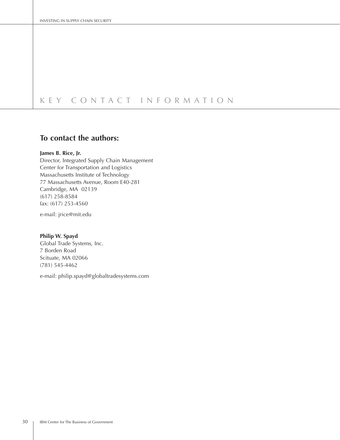# KEY CONTACT INFORMATION

## To contact the authors:

## James B. Rice, Jr.

Director, Integrated Supply Chain Management Center for Transportation and Logistics Massachusetts Institute of Technology 77 Massachusetts Avenue, Room E40-281 Cambridge, MA 02139  $(617)$  258-8584 fax: (617) 253-4560

e-mail: jrice@mit.edu

#### Philip W. Spayd

Global Trade Systems, Inc. 7 Borden Road Scituate, MA 02066  $(781)$  545-4462

e-mail: philip.spayd@globaltradesystems.com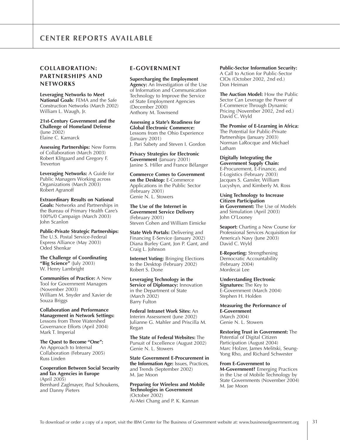## **COLLABORATION:** PARTNERSHIPS AND **NETWORKS**

**Leveraging Networks to Meet** National Goals: FEMA and the Safe Construction Networks (March 2002) William L. Waugh, Jr.

21st-Century Government and the **Challenge of Homeland Defense**  $(lune 2002)$ Elaine C. Kamarck

**Assessing Partnerships: New Forms** of Collaboration (March 2003) Robert Klitgaard and Gregory F. Treverton

Leveraging Networks: A Guide for Public Managers Working across Organizations (March 2003) Robert Agranoff

**Extraordinary Results on National Goals:** Networks and Partnerships in the Bureau of Primary Health Care's 100%/0 Campaign (March 2003) John Scanlon

**Public-Private Strategic Partnerships:** The U.S. Postal Service-Federal Express Alliance (May 2003) Oded Shenkar

The Challenge of Coordinating "Big Science" (July 2003) W. Henry Lambright

**Communities of Practice: A New** Tool for Government Managers (November 2003) William M. Snyder and Xavier de Souza Briggs

**Collaboration and Performance Management in Network Settings:** Lessons from Three Watershed Governance Efforts (April 2004) Mark T. Imperial

The Quest to Become "One": An Approach to Internal Collaboration (February 2005) Russ Linden

**Cooperation Between Social Security** and Tax Agencies in Europe (April 2005) Bernhard Zaglmayer, Paul Schoukens, and Danny Pieters

### **E-GOVERNMENT**

**Supercharging the Employment** Agency: An Investigation of the Use of Information and Communication Technology to Improve the Service of State Employment Agencies (December 2000) Anthony M. Townsend

Assessing a State's Readiness for **Global Electronic Commerce:** Lessons from the Ohio Experience (January 2001) J. Pari Sabety and Steven I. Gordon

**Privacy Strategies for Electronic** Government (January 2001) Janine S. Hiller and France Bélanger

**Commerce Comes to Government** on the Desktop: E-Commerce Applications in the Public Sector (February 2001) Genie N. L. Stowers

The Use of the Internet in **Government Service Delivery** (February 2001) Steven Cohen and William Eimicke

State Web Portals: Delivering and Financing E-Service (January 2002) Diana Burley Gant, Jon P. Gant, and Craig L. Johnson

**Internet Voting: Bringing Elections** to the Desktop (February 2002) Robert S. Done

Leveraging Technology in the Service of Diplomacy: Innovation in the Department of State (March 2002) **Barry Fulton** 

Federal Intranet Work Sites: An Interim Assessment (June 2002) Julianne G. Mahler and Priscilla M. Regan

The State of Federal Websites: The Pursuit of Excellence (August 2002) Genie N. L. Stowers

**State Government E-Procurement in** the Information Age: Issues, Practices, and Trends (September 2002) M. Jae Moon

**Preparing for Wireless and Mobile Technologies in Government** (October 2002) Ai-Mei Chang and P. K. Kannan

### **Public-Sector Information Security:**

A Call to Action for Public-Sector CIOs (October 2002, 2nd ed.) Don Heiman

The Auction Model: How the Public Sector Can Leverage the Power of E-Commerce Through Dynamic Pricing (November 2002, 2nd ed.) David C. Wyld

The Promise of E-Learning in Africa: The Potential for Public-Private Partnerships (January 2003) Norman LaRocque and Michael Latham

Digitally Integrating the Government Supply Chain: E-Procurement, E-Finance, and E-Logistics (February 2003) Jacques S. Gansler, William Lucyshyn, and Kimberly M. Ross

**Using Technology to Increase Citizen Participation** in Government: The Use of Models and Simulation (April 2003) John O'Looney

**Seaport:** Charting a New Course for Professional Services Acquisition for America's Navy (June 2003) David C. Wyld

**E-Reporting: Strengthening** Democratic Accountability (February 2004) Mordecai Lee

**Understanding Electronic** 

Signatures: The Key to E-Government (March 2004) Stephen H. Holden

**Measuring the Performance of E-Government** (March 2004) Genie N. L. Stowers

**Restoring Trust in Government: The** Potential of Digital Citizen Participation (August 2004) Marc Holzer, James Melitski, Seung-Yong Rho, and Richard Schwester

#### From E-Government to

M-Government? Emerging Practices in the Use of Mobile Technology by State Governments (November 2004) M. Jae Moon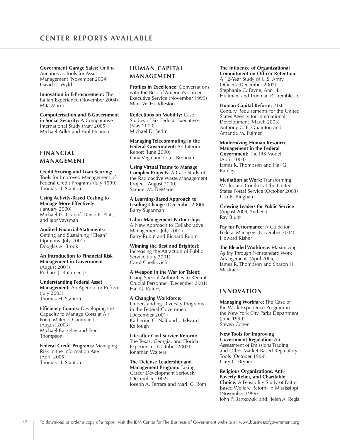## **CENTER REPORTS AVAILABLE**

**Government Garage Sales: Online** Auctions as Tools for Asset Management (November 2004) David C. Wyld

Innovation in E-Procurement: The Italian Experience (November 2004) Mita Marra

**Computerisation and E-Government** in Social Security: A Comparative International Study (May 2005) Michael Adler and Paul Henman

## **FINANCIAL** MANAGEMENT

**Credit Scoring and Loan Scoring:** Tools for Improved Management of Federal Credit Programs (July 1999) Thomas H. Stanton

**Using Activity-Based Costing to Manage More Effectively**  $($ January 2000 $)$ Michael H. Granof, David E. Platt, and Igor Vaysman

**Audited Financial Statements:** Getting and Sustaining "Clean" Opinions (July 2001) Douglas A. Brook

An Introduction to Financial Risk **Management in Government** (August 2001) Richard J. Buttimer, Jr.

**Understanding Federal Asset** Management: An Agenda for Reform  $(luly 2003)$ Thomas H. Stanton

Efficiency Counts: Developing the Capacity to Manage Costs at Air Force Materiel Command (August 2003) Michael Barzelay and Fred Thompson

Federal Credit Programs: Managing Risk in the Information Age (April 2005) Thomas H. Stanton

## **HUMAN CAPITAL** MANAGEMENT

**Profiles in Excellence: Conversations** with the Best of America's Career Executive Service (November 1999) Mark W. Huddleston

**Reflections on Mobility: Case** Studies of Six Federal Executives (May 2000) Michael D. Serlin

Managing Telecommuting in the Federal Government: An Interim Report (June 2000) Gina Vega and Louis Brennan

**Using Virtual Teams to Manage Complex Projects: A Case Study of** the Radioactive Waste Management Project (August 2000) Samuel M. DeMarie

A Learning-Based Approach to Leading Change (December 2000) Barry Sugarman

Labor-Management Partnerships: A New Approach to Collaborative Management (July 2001) Barry Rubin and Richard Rubin

**Winning the Best and Brightest:** Increasing the Attraction of Public Service (July 2001) Carol Chetkovich

A Weapon in the War for Talent: Using Special Authorities to Recruit Crucial Personnel (December 2001) Hal G. Rainey

**A Changing Workforce:** Understanding Diversity Programs in the Federal Government (December 2001) Katherine C. Naff and J. Edward Kellough

Life after Civil Service Reform: The Texas, Georgia, and Florida Experiences (October 2002) Jonathan Walters

The Defense Leadership and **Management Program: Taking** Career Development Seriously (December 2002) Joseph A. Ferrara and Mark C. Rom

## The Influence of Organizational

**Commitment on Officer Retention:** A 12-Year Study of U.S. Army Officers (December 2002) Stephanie C. Payne, Ann H. Huffman, and Trueman R. Tremble, Jr.

Human Capital Reform: 21st Century Requirements for the United States Agency for International Development (March 2003) Anthony C. E. Quainton and Amanda M. Fulmer

**Modernizing Human Resource Management in the Federal Government: The IRS Model** (April 2003) James R. Thompson and Hal G. Rainey

**Mediation at Work: Transforming** Workplace Conflict at the United States Postal Service (October 2003) Lisa B. Bingham

**Growing Leaders for Public Service** (August 2004, 2nd ed.) Ray Blunt

Pay for Performance: A Guide for Federal Managers (November 2004) Howard Risher

The Blended Workforce: Maximizing Agility Through Nonstandard Work Arrangements (April 2005) James R. Thompson and Sharon H. Mastracci

## **INNOVATION**

Managing Workfare: The Case of the Work Experience Program in the New York City Parks Department (June 1999) Steven Cohen

**New Tools for Improving** Government Regulation: An Assessment of Emissions Trading and Other Market-Based Regulatory Tools (October 1999) Gary C. Bryner

**Religious Organizations, Anti-Poverty Relief, and Charitable Choice:** A Feasibility Study of Faith-Based Welfare Reform in Mississippi (November 1999) John P. Bartkowski and Helen A. Regis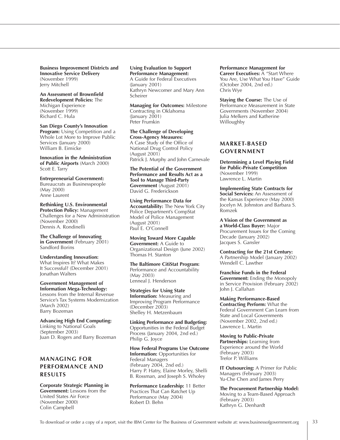**Business Improvement Districts and Innovative Service Delivery** (November 1999) Jerry Mitchell

#### An Assessment of Brownfield **Redevelopment Policies: The** Michigan Experience (November 1999) Richard C. Hula

San Diego County's Innovation **Program:** Using Competition and a Whole Lot More to Improve Public Services (January 2000) William B. Eimicke

**Innovation in the Administration** of Public Airports (March 2000) Scott E. Tarry

**Entrepreneurial Government:** Bureaucrats as Businesspeople (May 2000) Anne Laurent

Rethinking U.S. Environmental **Protection Policy: Management** Challenges for a New Administration (November 2000) Dennis A. Rondinelli

The Challenge of Innovating in Government (February 2001) Sandford Borins

**Understanding Innovation:** What Inspires It? What Makes It Successful? (December 2001) Jonathan Walters

**Government Management of Information Mega-Technology:** Lessons from the Internal Revenue Service's Tax Systems Modernization (March 2002) Barry Bozeman

**Advancing High End Computing:** Linking to National Goals (September 2003) Juan D. Rogers and Barry Bozeman

## **MANAGING FOR** PERFORMANCE AND **RESULTS**

**Corporate Strategic Planning in Government:** Lessons from the United States Air Force (November 2000) Colin Campbell

## **Using Evaluation to Support Performance Management:**

A Guide for Federal Executives  $($ lanuary 2001) Kathryn Newcomer and Mary Ann Scheirer

**Managing for Outcomes: Milestone** Contracting in Oklahoma  $(January 2001)$ Peter Frumkin

#### The Challenge of Developing **Cross-Agency Measures:**

A Case Study of the Office of National Drug Control Policy (August 2001) Patrick J. Murphy and John Carnevale

The Potential of the Government Performance and Results Act as a **Tool to Manage Third-Party** Government (August 2001) David G. Frederickson

**Using Performance Data for Accountability: The New York City** Police Department's CompStat Model of Police Management (August 2001) Paul E. O'Connell

**Moving Toward More Capable Government: A Guide to** Organizational Design (June 2002) Thomas H. Stanton

The Baltimore CitiStat Program: Performance and Accountability (May 2003) Lenneal J. Henderson

**Strategies for Using State Information:** Measuring and Improving Program Performance (December 2003) Shelley H. Metzenbaum

**Linking Performance and Budgeting:** Opportunities in the Federal Budget Process (January 2004, 2nd ed.) Philip G. Joyce

How Federal Programs Use Outcome **Information:** Opportunities for Federal Managers (February 2004, 2nd ed.) Harry P. Hatry, Elaine Morley, Shelli B. Rossman, and Joseph S. Wholey

Performance Leadership: 11 Better Practices That Can Ratchet Up Performance (May 2004) Robert D. Behn

#### **Performance Management for**

Career Executives: A "Start Where You Are, Use What You Have" Guide (October 2004, 2nd ed.) Chris Wye

Staying the Course: The Use of Performance Measurement in State Governments (November 2004) Julia Melkers and Katherine Willoughby

## **MARKET-BASED GOVERNMENT**

Determining a Level Playing Field for Public-Private Competition (November 1999) Lawrence L. Martin

**Implementing State Contracts for** Social Services: An Assessment of the Kansas Experience (May 2000) Jocelyn M. Johnston and Barbara S. Romzek

A Vision of the Government as a World-Class Buyer: Major Procurement Issues for the Coming Decade (January 2002) Jacques S. Gansler

Contracting for the 21st Century: A Partnership Model (January 2002) Wendell C. Lawther

**Franchise Funds in the Federal Government:** Ending the Monopoly in Service Provision (February 2002) John J. Callahan

**Making Performance-Based Contracting Perform:** What the Federal Government Can Learn from State and Local Governments (November 2002, 2nd ed.) Lawrence L. Martin

**Moving to Public-Private** Partnerships: Learning from Experience around the World (February 2003) Trefor P. Williams

**IT Outsourcing: A Primer for Public** Managers (February 2003) Yu-Che Chen and James Perry

The Procurement Partnership Model: Moving to a Team-Based Approach (February 2003) Kathryn G. Denhardt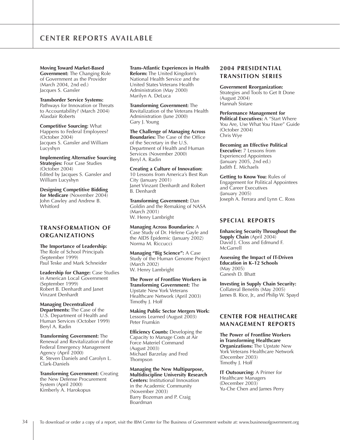**Moving Toward Market-Based** Government: The Changing Role of Government as the Provider (March 2004, 2nd ed.) Jacques S. Gansler

**Transborder Service Systems:** Pathways for Innovation or Threats to Accountability? (March 2004) Alasdair Roberts

**Competitive Sourcing: What** Happens to Federal Employees?  $(October 2004)$ Jacques S. Gansler and William Lucyshyn

**Implementing Alternative Sourcing Strategies: Four Case Studies** (October 2004) Edited by Jacques S. Gansler and William Lucyshyn

**Designing Competitive Bidding** for Medicare (November 2004) John Cawley and Andrew B. Whitford

## **TRANSFORMATION OF ORGANIZATIONS**

The Importance of Leadership: The Role of School Principals (September 1999) Paul Teske and Mark Schneider

Leadership for Change: Case Studies in American Local Government (September 1999) Robert B. Denhardt and lanet Vinzant Denhardt

**Managing Decentralized** Departments: The Case of the U.S. Department of Health and Human Services (October 1999) Beryl A. Radin

Transforming Government: The Renewal and Revitalization of the Federal Emergency Management Agency (April 2000) R. Steven Daniels and Carolyn L. Clark-Daniels

**Transforming Government: Creating** the New Defense Procurement System (April 2000) Kimberly A. Harokopus

## **Trans-Atlantic Experiences in Health**

Reform: The United Kingdom's National Health Service and the United States Veterans Health Administration (May 2000) Marilyn A. DeLuca

**Transforming Government: The** Revitalization of the Veterans Health Administration (June 2000) Gary J. Young

The Challenge of Managing Across **Boundaries:** The Case of the Office of the Secretary in the U.S. Department of Health and Human Services (November 2000) Beryl A. Radin

**Creating a Culture of Innovation:** 10 Lessons from America's Best Run City (January 2001) Janet Vinzant Denhardt and Robert **B.** Denhardt

**Transforming Government: Dan** Goldin and the Remaking of NASA (March 2001) W. Henry Lambright

**Managing Across Boundaries: A** Case Study of Dr. Helene Gayle and the AIDS Epidemic (January  $2002$ ) Norma M. Riccucci

Managing "Big Science": A Case Study of the Human Genome Project (March 2002) W. Henry Lambright

The Power of Frontline Workers in Transforming Government: The Upstate New York Veterans Healthcare Network (April 2003) Timothy J. Hoff

**Making Public Sector Mergers Work:** Lessons Learned (August 2003) Peter Frumkin

**Efficiency Counts: Developing the** Capacity to Manage Costs at Air Force Materiel Command (August 2003) Michael Barzelay and Fred Thompson

**Managing the New Multipurpose, Multidiscipline University Research Centers:** Institutional Innovation in the Academic Community (November 2003) Barry Bozeman and P. Craig Boardman

## **2004 PRESIDENTIAL TRANSITION SERIES**

**Government Reorganization:** Strategies and Tools to Get It Done (August 2004) Hannah Sistare

**Performance Management for** Political Executives: A "Start Where You Are, Use What You Have" Guide (October 2004) Chris Wye

**Becoming an Effective Political Executive: 7 Lessons from Experienced Appointees** (January 2005,  $2nd$  ed.) Judith E. Michaels

Getting to Know You: Rules of Engagement for Political Appointees and Career Executives (January 2005) Joseph A. Ferrara and Lynn C. Ross

### **SPECIAL REPORTS**

**Enhancing Security Throughout the** Supply Chain (April 2004) David I. Closs and Edmund F. McGarrell

Assessing the Impact of IT-Driven **Education in K-12 Schools** (May 2005) Ganesh D. Bhatt

**Investing in Supply Chain Security:** Collateral Benefits (May 2005) James B. Rice, Jr., and Philip W. Spayd

## **CENTER FOR HEALTHCARE MANAGEMENT REPORTS**

The Power of Frontline Workers in Transforming Healthcare **Organizations: The Upstate New** York Veterans Healthcare Network (December 2003) Timothy J. Hoff

**IT Outsourcing: A Primer for Healthcare Managers** (December 2003) Yu-Che Chen and James Perry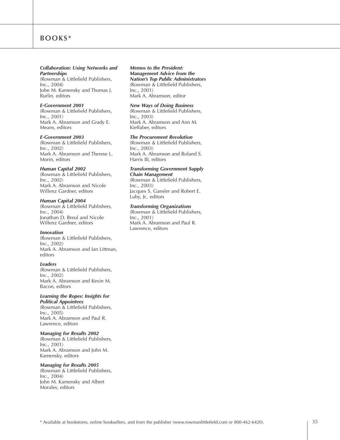## BOOKS\*

#### **Collaboration: Using Networks and Partnerships**

(Rowman & Littlefield Publishers,  $Inc., 2004)$ John M. Kamensky and Thomas J. Burlin, editors

#### **E-Government** 2001

(Rowman & Littlefield Publishers,  $Inc., 2001)$ Mark A. Abramson and Grady E. Means, editors

#### **E-Government** 2003

(Rowman & Littlefield Publishers,  $Inc., 2002)$ Mark A. Abramson and Therese L. Morin, editors

#### **Human Capital 2002**

(Rowman & Littlefield Publishers,  $Inc., 2002)$ Mark A. Abramson and Nicole Willenz Gardner, editors

#### **Human Capital 2004**

(Rowman & Littlefield Publishers, Inc., 2004) Jonathan D. Breul and Nicole Willenz Gardner, editors

#### **Innovation**

(Rowman & Littlefield Publishers,  $Inc., 2002)$ Mark A. Abramson and Ian Littman, editors

#### Leaders

(Rowman & Littlefield Publishers,  $Inc., 2002)$ Mark A. Abramson and Kevin M. Bacon, editors

## Learning the Ropes: Insights for

**Political Appointees** (Rowman & Littlefield Publishers,  $Inc., 2005)$ Mark A. Abramson and Paul R. Lawrence, editors

#### *Managing for Results 2002*

(Rowman & Littlefield Publishers,  $Inc., 2001)$ Mark A. Abramson and John M. Kamensky, editors

#### *Managing for Results 2005*

(Rowman & Littlefield Publishers,  $Inc., 2004)$ John M. Kamensky and Albert Morales, editors

#### **Memos to the President:** *Management Advice from the* **Nation's Top Public Administrators** (Rowman & Littlefield Publishers,  $Inc., 2001)$

Mark A. Abramson, editor

#### **New Ways of Doing Business**

(Rowman & Littlefield Publishers,  $Inc., 2003)$ Mark A. Abramson and Ann M. Kieffaber, editors

#### *The Procurement Revolution*

(Rowman & Littlefield Publishers,  $Inc., 2003)$ Mark A. Abramson and Roland S. Harris III, editors

#### **Transforming Government Supply Chain Management**

(Rowman & Littlefield Publishers,  $Inc., 2003)$ Jacques S. Gansler and Robert E. Luby, Jr., editors

#### *Transforming Organizations*

(Rowman & Littlefield Publishers,  $Inc., 2001)$ Mark A. Abramson and Paul R. Lawrence, editors